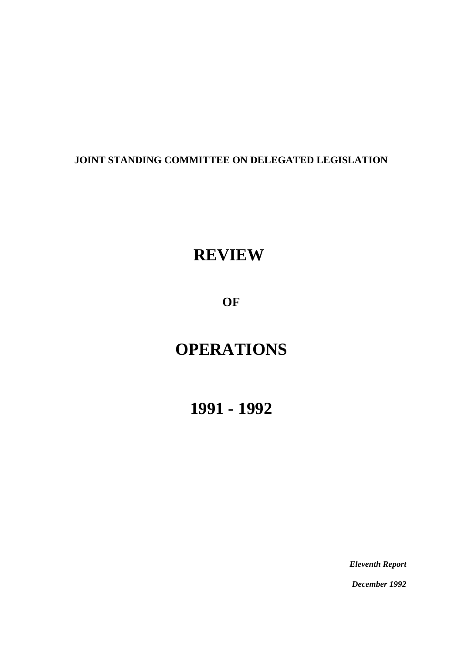## **JOINT STANDING COMMITTEE ON DELEGATED LEGISLATION**

# **REVIEW**

**OF**

# **OPERATIONS**

**1991 - 1992**

*Eleventh Report*

*December 1992*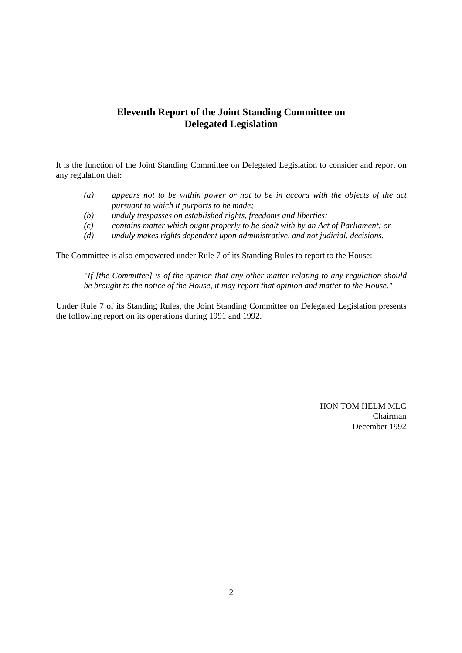## **Eleventh Report of the Joint Standing Committee on Delegated Legislation**

It is the function of the Joint Standing Committee on Delegated Legislation to consider and report on any regulation that:

- *(a) appears not to be within power or not to be in accord with the objects of the act pursuant to which it purports to be made;*
- *(b) unduly trespasses on established rights, freedoms and liberties;*
- *(c) contains matter which ought properly to be dealt with by an Act of Parliament; or*
- *(d) unduly makes rights dependent upon administrative, and not judicial, decisions.*

The Committee is also empowered under Rule 7 of its Standing Rules to report to the House:

*"If [the Committee] is of the opinion that any other matter relating to any regulation should be brought to the notice of the House, it may report that opinion and matter to the House."*

Under Rule 7 of its Standing Rules, the Joint Standing Committee on Delegated Legislation presents the following report on its operations during 1991 and 1992.

> HON TOM HELM MLC Chairman December 1992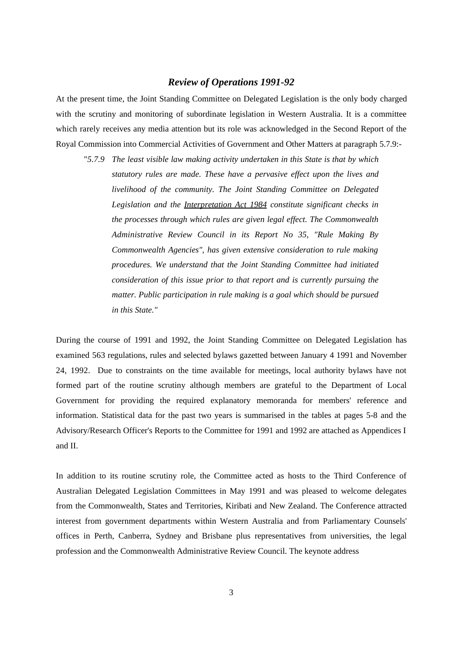## *Review of Operations 1991-92*

At the present time, the Joint Standing Committee on Delegated Legislation is the only body charged with the scrutiny and monitoring of subordinate legislation in Western Australia. It is a committee which rarely receives any media attention but its role was acknowledged in the Second Report of the Royal Commission into Commercial Activities of Government and Other Matters at paragraph 5.7.9:-

"*5.7.9 The least visible law making activity undertaken in this State is that by which statutory rules are made. These have a pervasive effect upon the lives and livelihood of the community. The Joint Standing Committee on Delegated Legislation and the Interpretation Act 1984 constitute significant checks in the processes through which rules are given legal effect. The Commonwealth Administrative Review Council in its Report No 35, "Rule Making By Commonwealth Agencies", has given extensive consideration to rule making procedures. We understand that the Joint Standing Committee had initiated consideration of this issue prior to that report and is currently pursuing the matter. Public participation in rule making is a goal which should be pursued in this State."*

During the course of 1991 and 1992, the Joint Standing Committee on Delegated Legislation has examined 563 regulations, rules and selected bylaws gazetted between January 4 1991 and November 24, 1992. Due to constraints on the time available for meetings, local authority bylaws have not formed part of the routine scrutiny although members are grateful to the Department of Local Government for providing the required explanatory memoranda for members' reference and information. Statistical data for the past two years is summarised in the tables at pages 5-8 and the Advisory/Research Officer's Reports to the Committee for 1991 and 1992 are attached as Appendices I and II.

In addition to its routine scrutiny role, the Committee acted as hosts to the Third Conference of Australian Delegated Legislation Committees in May 1991 and was pleased to welcome delegates from the Commonwealth, States and Territories, Kiribati and New Zealand. The Conference attracted interest from government departments within Western Australia and from Parliamentary Counsels' offices in Perth, Canberra, Sydney and Brisbane plus representatives from universities, the legal profession and the Commonwealth Administrative Review Council. The keynote address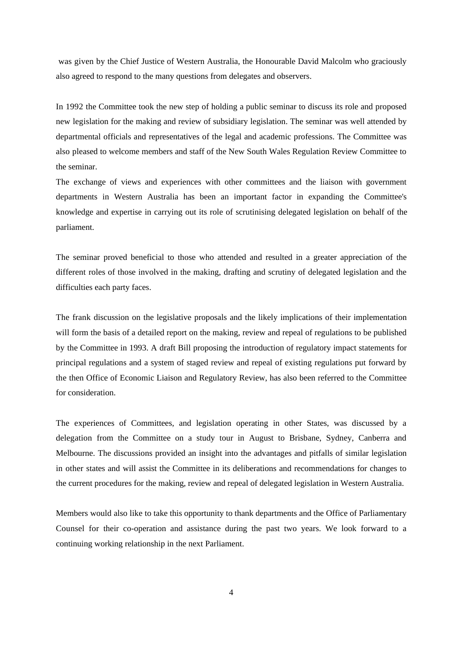was given by the Chief Justice of Western Australia, the Honourable David Malcolm who graciously also agreed to respond to the many questions from delegates and observers.

In 1992 the Committee took the new step of holding a public seminar to discuss its role and proposed new legislation for the making and review of subsidiary legislation. The seminar was well attended by departmental officials and representatives of the legal and academic professions. The Committee was also pleased to welcome members and staff of the New South Wales Regulation Review Committee to the seminar.

The exchange of views and experiences with other committees and the liaison with government departments in Western Australia has been an important factor in expanding the Committee's knowledge and expertise in carrying out its role of scrutinising delegated legislation on behalf of the parliament.

The seminar proved beneficial to those who attended and resulted in a greater appreciation of the different roles of those involved in the making, drafting and scrutiny of delegated legislation and the difficulties each party faces.

The frank discussion on the legislative proposals and the likely implications of their implementation will form the basis of a detailed report on the making, review and repeal of regulations to be published by the Committee in 1993. A draft Bill proposing the introduction of regulatory impact statements for principal regulations and a system of staged review and repeal of existing regulations put forward by the then Office of Economic Liaison and Regulatory Review, has also been referred to the Committee for consideration.

The experiences of Committees, and legislation operating in other States, was discussed by a delegation from the Committee on a study tour in August to Brisbane, Sydney, Canberra and Melbourne. The discussions provided an insight into the advantages and pitfalls of similar legislation in other states and will assist the Committee in its deliberations and recommendations for changes to the current procedures for the making, review and repeal of delegated legislation in Western Australia.

Members would also like to take this opportunity to thank departments and the Office of Parliamentary Counsel for their co-operation and assistance during the past two years. We look forward to a continuing working relationship in the next Parliament.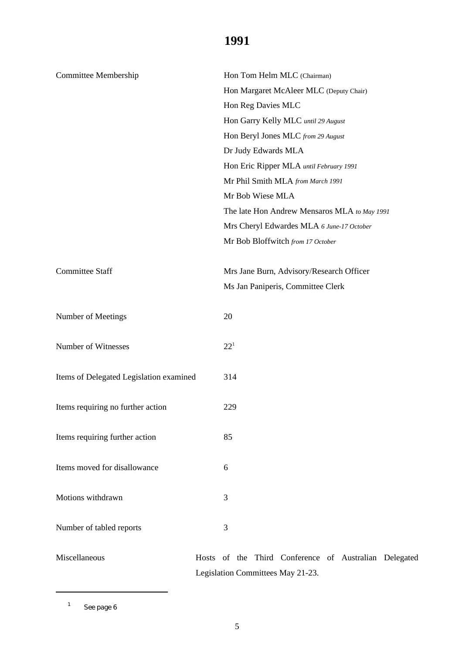| Committee Membership                    | Hon Tom Helm MLC (Chairman)                  |
|-----------------------------------------|----------------------------------------------|
|                                         | Hon Margaret McAleer MLC (Deputy Chair)      |
|                                         | Hon Reg Davies MLC                           |
|                                         | Hon Garry Kelly MLC until 29 August          |
|                                         | Hon Beryl Jones MLC from 29 August           |
|                                         | Dr Judy Edwards MLA                          |
|                                         | Hon Eric Ripper MLA until February 1991      |
|                                         | Mr Phil Smith MLA from March 1991            |
|                                         | Mr Bob Wiese MLA                             |
|                                         | The late Hon Andrew Mensaros MLA to May 1991 |
|                                         | Mrs Cheryl Edwardes MLA 6 June-17 October    |
|                                         | Mr Bob Bloffwitch from 17 October            |
|                                         |                                              |
| <b>Committee Staff</b>                  | Mrs Jane Burn, Advisory/Research Officer     |
|                                         | Ms Jan Paniperis, Committee Clerk            |
|                                         |                                              |
| Number of Meetings                      | 20                                           |
|                                         |                                              |
| Number of Witnesses                     | $22^{1}$                                     |
|                                         |                                              |
| Items of Delegated Legislation examined | 314                                          |
|                                         |                                              |
| Items requiring no further action       | 229                                          |
|                                         |                                              |
| Items requiring further action          | 85                                           |
|                                         |                                              |
| Items moved for disallowance            | 6                                            |
|                                         |                                              |
| Motions withdrawn                       | 3                                            |
|                                         |                                              |
| Number of tabled reports                | 3                                            |
|                                         |                                              |

Miscellaneous Hosts of the Third Conference of Australian Delegated Legislation Committees May 21-23.

 $1$  See page 6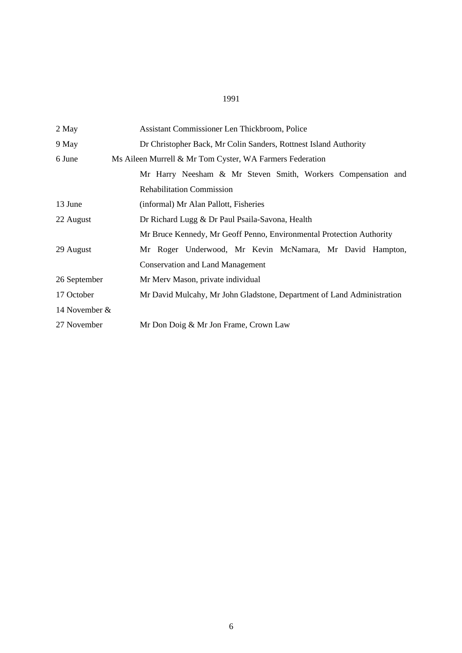| 2 May         | Assistant Commissioner Len Thickbroom, Police                          |  |  |
|---------------|------------------------------------------------------------------------|--|--|
| 9 May         | Dr Christopher Back, Mr Colin Sanders, Rottnest Island Authority       |  |  |
| 6 June        | Ms Aileen Murrell & Mr Tom Cyster, WA Farmers Federation               |  |  |
|               | Mr Harry Neesham & Mr Steven Smith, Workers Compensation and           |  |  |
|               | <b>Rehabilitation Commission</b>                                       |  |  |
| 13 June       | (informal) Mr Alan Pallott, Fisheries                                  |  |  |
| 22 August     | Dr Richard Lugg & Dr Paul Psaila-Savona, Health                        |  |  |
|               | Mr Bruce Kennedy, Mr Geoff Penno, Environmental Protection Authority   |  |  |
| 29 August     | Mr Roger Underwood, Mr Kevin McNamara, Mr David Hampton,               |  |  |
|               | <b>Conservation and Land Management</b>                                |  |  |
| 26 September  | Mr Merv Mason, private individual                                      |  |  |
| 17 October    | Mr David Mulcahy, Mr John Gladstone, Department of Land Administration |  |  |
| 14 November & |                                                                        |  |  |
| 27 November   | Mr Don Doig & Mr Jon Frame, Crown Law                                  |  |  |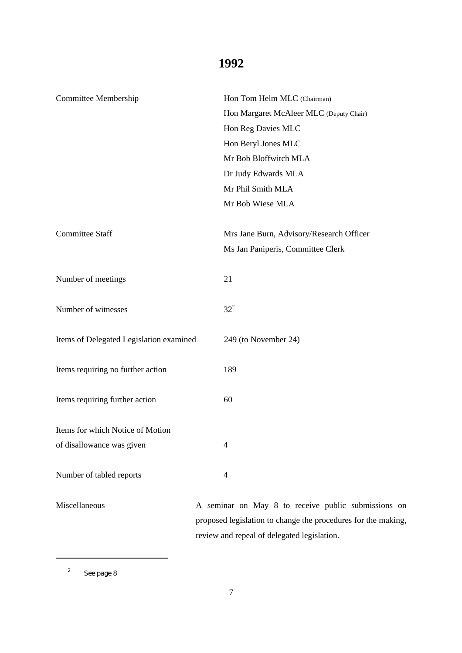| <b>Committee Membership</b>             | Hon Tom Helm MLC (Chairman)              |  |
|-----------------------------------------|------------------------------------------|--|
|                                         | Hon Margaret McAleer MLC (Deputy Chair)  |  |
|                                         | Hon Reg Davies MLC                       |  |
|                                         | Hon Beryl Jones MLC                      |  |
|                                         | Mr Bob Bloffwitch MLA                    |  |
|                                         | Dr Judy Edwards MLA                      |  |
|                                         | Mr Phil Smith MLA                        |  |
|                                         | Mr Bob Wiese MLA                         |  |
|                                         |                                          |  |
| <b>Committee Staff</b>                  | Mrs Jane Burn, Advisory/Research Officer |  |
|                                         | Ms Jan Paniperis, Committee Clerk        |  |
|                                         |                                          |  |
| Number of meetings                      | 21                                       |  |
|                                         |                                          |  |
| Number of witnesses                     | $32^{2}$                                 |  |
|                                         |                                          |  |
| Items of Delegated Legislation examined | 249 (to November 24)                     |  |
|                                         |                                          |  |
| Items requiring no further action       | 189                                      |  |
|                                         |                                          |  |
| Items requiring further action          | 60                                       |  |
| Items for which Notice of Motion        |                                          |  |
| of disallowance was given               | 4                                        |  |
|                                         |                                          |  |
| Number of tabled reports                | 4                                        |  |
|                                         |                                          |  |
|                                         |                                          |  |

Miscellaneous A seminar on May 8 to receive public submissions on proposed legislation to change the procedures for the making, review and repeal of delegated legislation.

<sup>&</sup>lt;sup>2</sup> See page 8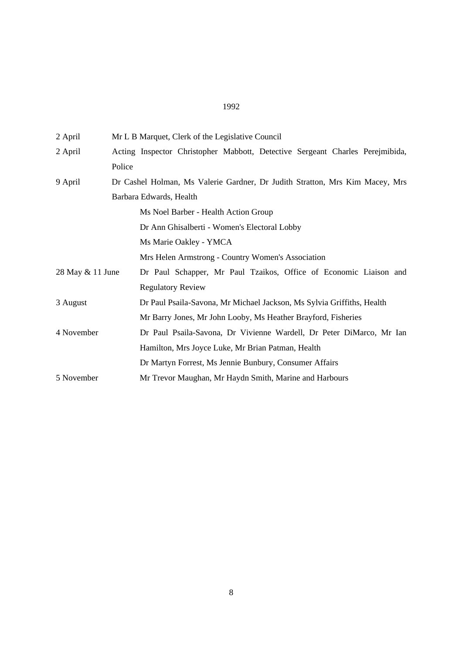| 2 April          | Mr L B Marquet, Clerk of the Legislative Council                                                        |  |
|------------------|---------------------------------------------------------------------------------------------------------|--|
| 2 April          | Acting Inspector Christopher Mabbott, Detective Sergeant Charles Perejmibida,                           |  |
|                  | Police                                                                                                  |  |
| 9 April          | Dr Cashel Holman, Ms Valerie Gardner, Dr Judith Stratton, Mrs Kim Macey, Mrs<br>Barbara Edwards, Health |  |
|                  |                                                                                                         |  |
|                  | Ms Noel Barber - Health Action Group                                                                    |  |
|                  | Dr Ann Ghisalberti - Women's Electoral Lobby                                                            |  |
|                  | Ms Marie Oakley - YMCA                                                                                  |  |
|                  | Mrs Helen Armstrong - Country Women's Association                                                       |  |
| 28 May & 11 June | Dr Paul Schapper, Mr Paul Tzaikos, Office of Economic Liaison and                                       |  |
|                  | <b>Regulatory Review</b>                                                                                |  |
| 3 August         | Dr Paul Psaila-Savona, Mr Michael Jackson, Ms Sylvia Griffiths, Health                                  |  |
|                  | Mr Barry Jones, Mr John Looby, Ms Heather Brayford, Fisheries                                           |  |
| 4 November       | Dr Paul Psaila-Savona, Dr Vivienne Wardell, Dr Peter DiMarco, Mr Ian                                    |  |
|                  | Hamilton, Mrs Joyce Luke, Mr Brian Patman, Health                                                       |  |
|                  | Dr Martyn Forrest, Ms Jennie Bunbury, Consumer Affairs                                                  |  |
| 5 November       | Mr Trevor Maughan, Mr Haydn Smith, Marine and Harbours                                                  |  |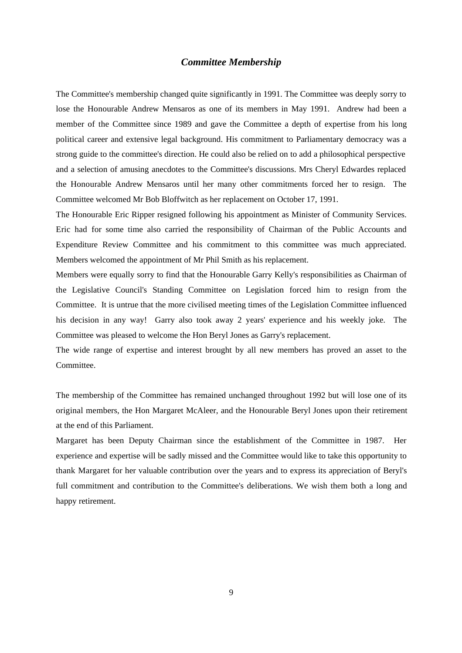## *Committee Membership*

The Committee's membership changed quite significantly in 1991. The Committee was deeply sorry to lose the Honourable Andrew Mensaros as one of its members in May 1991. Andrew had been a member of the Committee since 1989 and gave the Committee a depth of expertise from his long political career and extensive legal background. His commitment to Parliamentary democracy was a strong guide to the committee's direction. He could also be relied on to add a philosophical perspective and a selection of amusing anecdotes to the Committee's discussions. Mrs Cheryl Edwardes replaced the Honourable Andrew Mensaros until her many other commitments forced her to resign. The Committee welcomed Mr Bob Bloffwitch as her replacement on October 17, 1991.

The Honourable Eric Ripper resigned following his appointment as Minister of Community Services. Eric had for some time also carried the responsibility of Chairman of the Public Accounts and Expenditure Review Committee and his commitment to this committee was much appreciated. Members welcomed the appointment of Mr Phil Smith as his replacement.

Members were equally sorry to find that the Honourable Garry Kelly's responsibilities as Chairman of the Legislative Council's Standing Committee on Legislation forced him to resign from the Committee. It is untrue that the more civilised meeting times of the Legislation Committee influenced his decision in any way! Garry also took away 2 years' experience and his weekly joke. The Committee was pleased to welcome the Hon Beryl Jones as Garry's replacement.

The wide range of expertise and interest brought by all new members has proved an asset to the Committee.

The membership of the Committee has remained unchanged throughout 1992 but will lose one of its original members, the Hon Margaret McAleer, and the Honourable Beryl Jones upon their retirement at the end of this Parliament.

Margaret has been Deputy Chairman since the establishment of the Committee in 1987. Her experience and expertise will be sadly missed and the Committee would like to take this opportunity to thank Margaret for her valuable contribution over the years and to express its appreciation of Beryl's full commitment and contribution to the Committee's deliberations. We wish them both a long and happy retirement.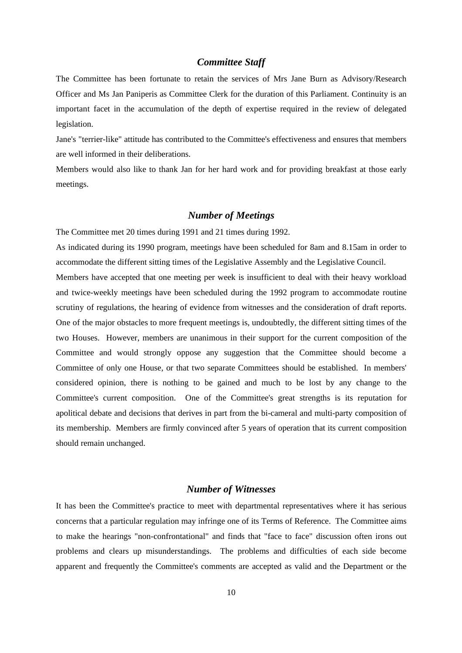## *Committee Staff*

The Committee has been fortunate to retain the services of Mrs Jane Burn as Advisory/Research Officer and Ms Jan Paniperis as Committee Clerk for the duration of this Parliament. Continuity is an important facet in the accumulation of the depth of expertise required in the review of delegated legislation.

Jane's "terrier-like" attitude has contributed to the Committee's effectiveness and ensures that members are well informed in their deliberations.

Members would also like to thank Jan for her hard work and for providing breakfast at those early meetings.

## *Number of Meetings*

The Committee met 20 times during 1991 and 21 times during 1992.

As indicated during its 1990 program, meetings have been scheduled for 8am and 8.15am in order to accommodate the different sitting times of the Legislative Assembly and the Legislative Council. Members have accepted that one meeting per week is insufficient to deal with their heavy workload and twice-weekly meetings have been scheduled during the 1992 program to accommodate routine scrutiny of regulations, the hearing of evidence from witnesses and the consideration of draft reports. One of the major obstacles to more frequent meetings is, undoubtedly, the different sitting times of the two Houses. However, members are unanimous in their support for the current composition of the Committee and would strongly oppose any suggestion that the Committee should become a Committee of only one House, or that two separate Committees should be established. In members' considered opinion, there is nothing to be gained and much to be lost by any change to the Committee's current composition. One of the Committee's great strengths is its reputation for apolitical debate and decisions that derives in part from the bi-cameral and multi-party composition of its membership. Members are firmly convinced after 5 years of operation that its current composition should remain unchanged.

## *Number of Witnesses*

It has been the Committee's practice to meet with departmental representatives where it has serious concerns that a particular regulation may infringe one of its Terms of Reference. The Committee aims to make the hearings "non-confrontational" and finds that "face to face" discussion often irons out problems and clears up misunderstandings. The problems and difficulties of each side become apparent and frequently the Committee's comments are accepted as valid and the Department or the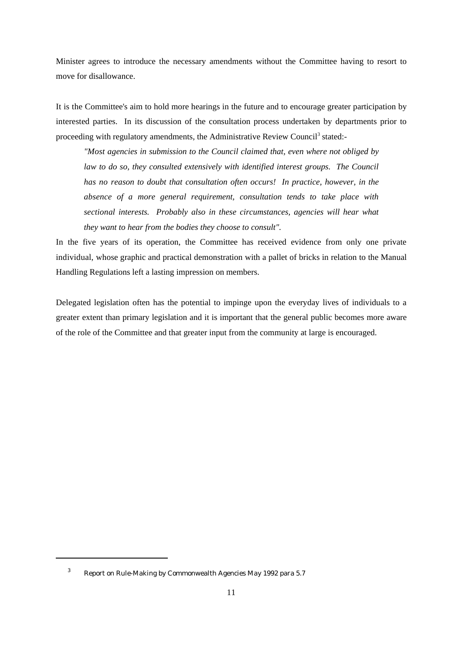Minister agrees to introduce the necessary amendments without the Committee having to resort to move for disallowance.

It is the Committee's aim to hold more hearings in the future and to encourage greater participation by interested parties. In its discussion of the consultation process undertaken by departments prior to proceeding with regulatory amendments, the Administrative Review Council<sup>3</sup> stated:

*"Most agencies in submission to the Council claimed that, even where not obliged by law to do so, they consulted extensively with identified interest groups. The Council has no reason to doubt that consultation often occurs! In practice, however, in the absence of a more general requirement, consultation tends to take place with sectional interests. Probably also in these circumstances, agencies will hear what they want to hear from the bodies they choose to consult".*

In the five years of its operation, the Committee has received evidence from only one private individual, whose graphic and practical demonstration with a pallet of bricks in relation to the Manual Handling Regulations left a lasting impression on members.

Delegated legislation often has the potential to impinge upon the everyday lives of individuals to a greater extent than primary legislation and it is important that the general public becomes more aware of the role of the Committee and that greater input from the community at large is encouraged.

<sup>&</sup>lt;sup>3</sup> Report on Rule-Making by Commonwealth Agencies May 1992 para 5.7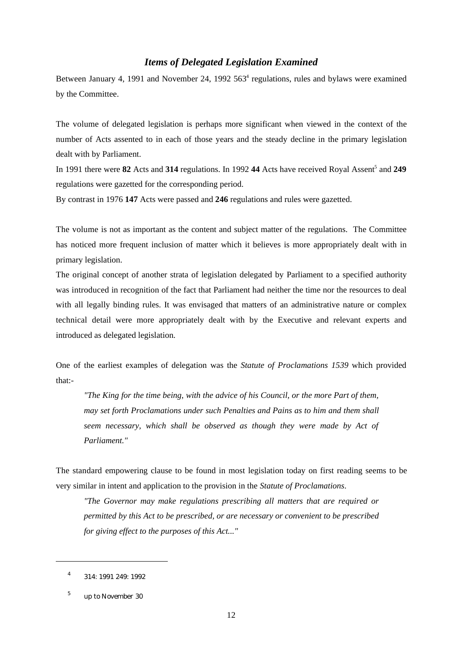## *Items of Delegated Legislation Examined*

Between January 4, 1991 and November 24, 1992 563<sup>4</sup> regulations, rules and bylaws were examined by the Committee.

The volume of delegated legislation is perhaps more significant when viewed in the context of the number of Acts assented to in each of those years and the steady decline in the primary legislation dealt with by Parliament.

In 1991 there were **82** Acts and **314** regulations. In 1992 **44** Acts have received Royal Assent<sup>5</sup> and **249** regulations were gazetted for the corresponding period.

By contrast in 1976 **147** Acts were passed and **246** regulations and rules were gazetted.

The volume is not as important as the content and subject matter of the regulations. The Committee has noticed more frequent inclusion of matter which it believes is more appropriately dealt with in primary legislation.

The original concept of another strata of legislation delegated by Parliament to a specified authority was introduced in recognition of the fact that Parliament had neither the time nor the resources to deal with all legally binding rules. It was envisaged that matters of an administrative nature or complex technical detail were more appropriately dealt with by the Executive and relevant experts and introduced as delegated legislation.

One of the earliest examples of delegation was the *Statute of Proclamations 1539* which provided that:-

*"The King for the time being, with the advice of his Council, or the more Part of them, may set forth Proclamations under such Penalties and Pains as to him and them shall seem necessary, which shall be observed as though they were made by Act of Parliament."*

The standard empowering clause to be found in most legislation today on first reading seems to be very similar in intent and application to the provision in the *Statute of Proclamations*.

*"The Governor may make regulations prescribing all matters that are required or permitted by this Act to be prescribed, or are necessary or convenient to be prescribed for giving effect to the purposes of this Act..."*

 $4$  314: 1991 249: 1992

<sup>&</sup>lt;sup>5</sup> up to November 30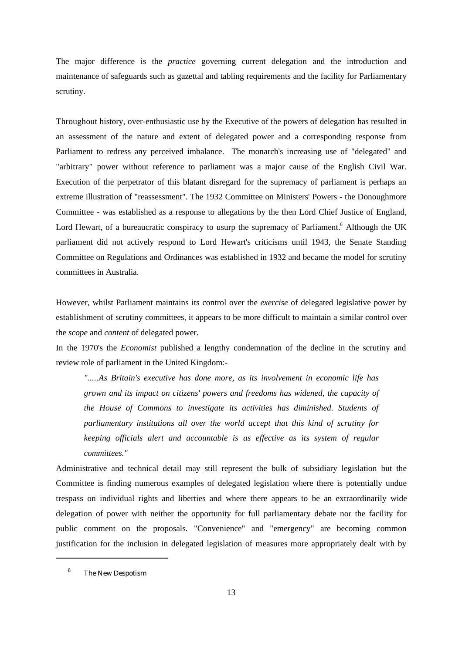The major difference is the *practice* governing current delegation and the introduction and maintenance of safeguards such as gazettal and tabling requirements and the facility for Parliamentary scrutiny.

Throughout history, over-enthusiastic use by the Executive of the powers of delegation has resulted in an assessment of the nature and extent of delegated power and a corresponding response from Parliament to redress any perceived imbalance. The monarch's increasing use of "delegated" and "arbitrary" power without reference to parliament was a major cause of the English Civil War. Execution of the perpetrator of this blatant disregard for the supremacy of parliament is perhaps an extreme illustration of "reassessment". The 1932 Committee on Ministers' Powers - the Donoughmore Committee - was established as a response to allegations by the then Lord Chief Justice of England, Lord Hewart, of a bureaucratic conspiracy to usurp the supremacy of Parliament.<sup>6</sup> Although the UK parliament did not actively respond to Lord Hewart's criticisms until 1943, the Senate Standing Committee on Regulations and Ordinances was established in 1932 and became the model for scrutiny committees in Australia.

However, whilst Parliament maintains its control over the *exercise* of delegated legislative power by establishment of scrutiny committees, it appears to be more difficult to maintain a similar control over the *scope* and *content* of delegated power.

In the 1970's the *Economist* published a lengthy condemnation of the decline in the scrutiny and review role of parliament in the United Kingdom:-

*".....As Britain's executive has done more, as its involvement in economic life has grown and its impact on citizens' powers and freedoms has widened, the capacity of the House of Commons to investigate its activities has diminished. Students of parliamentary institutions all over the world accept that this kind of scrutiny for keeping officials alert and accountable is as effective as its system of regular committees."*

Administrative and technical detail may still represent the bulk of subsidiary legislation but the Committee is finding numerous examples of delegated legislation where there is potentially undue trespass on individual rights and liberties and where there appears to be an extraordinarily wide delegation of power with neither the opportunity for full parliamentary debate nor the facility for public comment on the proposals. "Convenience" and "emergency" are becoming common justification for the inclusion in delegated legislation of measures more appropriately dealt with by

<sup>&</sup>lt;sup>6</sup> The New Despotism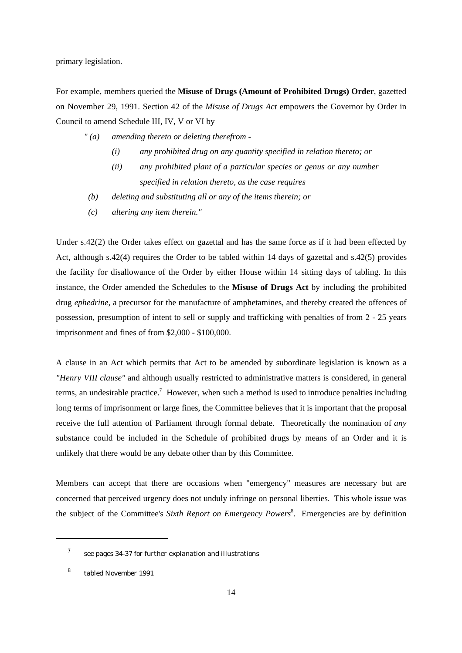primary legislation.

For example, members queried the **Misuse of Drugs (Amount of Prohibited Drugs) Order**, gazetted on November 29, 1991. Section 42 of the *Misuse of Drugs Act* empowers the Governor by Order in Council to amend Schedule III, IV, V or VI by

- *" (a) amending thereto or deleting therefrom -*
	- *(i) any prohibited drug on any quantity specified in relation thereto; or*
	- *(ii) any prohibited plant of a particular species or genus or any number specified in relation thereto, as the case requires*
- *(b) deleting and substituting all or any of the items therein; or*
- *(c) altering any item therein."*

Under s.42(2) the Order takes effect on gazettal and has the same force as if it had been effected by Act, although s.42(4) requires the Order to be tabled within 14 days of gazettal and s.42(5) provides the facility for disallowance of the Order by either House within 14 sitting days of tabling. In this instance, the Order amended the Schedules to the **Misuse of Drugs Act** by including the prohibited drug *ephedrine*, a precursor for the manufacture of amphetamines, and thereby created the offences of possession, presumption of intent to sell or supply and trafficking with penalties of from 2 - 25 years imprisonment and fines of from \$2,000 - \$100,000.

A clause in an Act which permits that Act to be amended by subordinate legislation is known as a *"Henry VIII clause"* and although usually restricted to administrative matters is considered, in general terms, an undesirable practice.<sup>7</sup> However, when such a method is used to introduce penalties including long terms of imprisonment or large fines, the Committee believes that it is important that the proposal receive the full attention of Parliament through formal debate. Theoretically the nomination of *any* substance could be included in the Schedule of prohibited drugs by means of an Order and it is unlikely that there would be any debate other than by this Committee.

Members can accept that there are occasions when "emergency" measures are necessary but are concerned that perceived urgency does not unduly infringe on personal liberties. This whole issue was the subject of the Committee's *Sixth Report on Emergency Powers*<sup>8</sup>. Emergencies are by definition

see pages 34-37 for further explanation and illustrations <sup>7</sup>

<sup>8</sup> tabled November 1991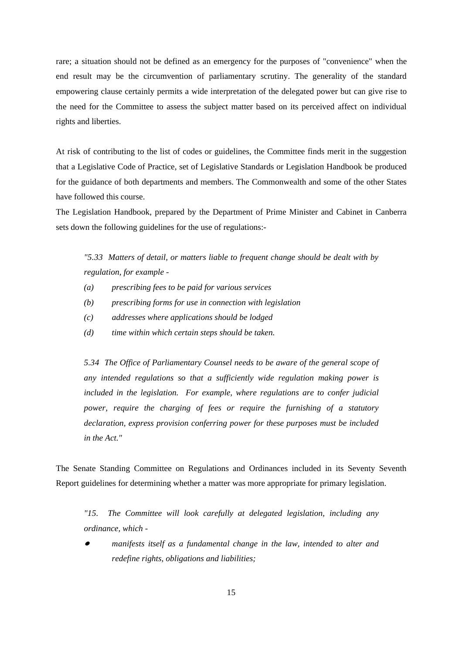rare; a situation should not be defined as an emergency for the purposes of "convenience" when the end result may be the circumvention of parliamentary scrutiny. The generality of the standard empowering clause certainly permits a wide interpretation of the delegated power but can give rise to the need for the Committee to assess the subject matter based on its perceived affect on individual rights and liberties.

At risk of contributing to the list of codes or guidelines, the Committee finds merit in the suggestion that a Legislative Code of Practice, set of Legislative Standards or Legislation Handbook be produced for the guidance of both departments and members. The Commonwealth and some of the other States have followed this course.

The Legislation Handbook, prepared by the Department of Prime Minister and Cabinet in Canberra sets down the following guidelines for the use of regulations:-

*"5.33 Matters of detail, or matters liable to frequent change should be dealt with by regulation, for example -* 

- *(a) prescribing fees to be paid for various services*
- *(b) prescribing forms for use in connection with legislation*
- *(c) addresses where applications should be lodged*
- *(d) time within which certain steps should be taken.*

*5.34 The Office of Parliamentary Counsel needs to be aware of the general scope of any intended regulations so that a sufficiently wide regulation making power is included in the legislation. For example, where regulations are to confer judicial power, require the charging of fees or require the furnishing of a statutory declaration, express provision conferring power for these purposes must be included in the Act."*

The Senate Standing Committee on Regulations and Ordinances included in its Seventy Seventh Report guidelines for determining whether a matter was more appropriate for primary legislation.

*"15. The Committee will look carefully at delegated legislation, including any ordinance, which -*

 $\bullet$  *manifests itself as a fundamental change in the law, intended to alter and redefine rights, obligations and liabilities;*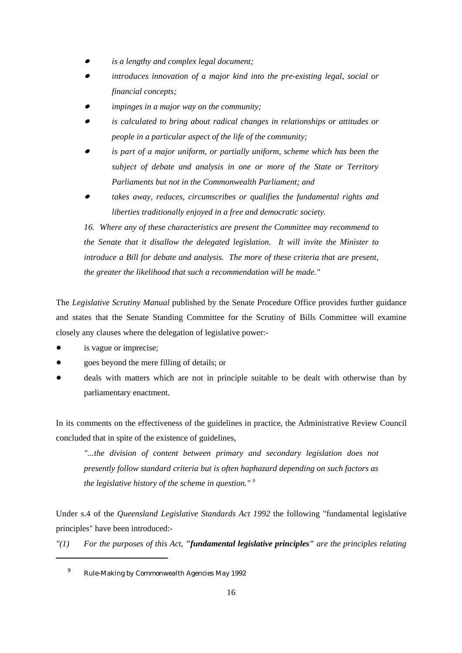- $\bullet$ *is a lengthy and complex legal document;*
- $\bullet$  *introduces innovation of a major kind into the pre-existing legal, social or financial concepts;*
- $\bullet$ *impinges in a major way on the community;*
- $\bullet$  *is calculated to bring about radical changes in relationships or attitudes or people in a particular aspect of the life of the community;*
- $\bullet$  *is part of a major uniform, or partially uniform, scheme which has been the subject of debate and analysis in one or more of the State or Territory Parliaments but not in the Commonwealth Parliament; and*
- $\bullet$  *takes away, reduces, circumscribes or qualifies the fundamental rights and liberties traditionally enjoyed in a free and democratic society.*

*16. Where any of these characteristics are present the Committee may recommend to the Senate that it disallow the delegated legislation. It will invite the Minister to introduce a Bill for debate and analysis. The more of these criteria that are present, the greater the likelihood that such a recommendation will be made."*

The *Legislative Scrutiny Manual* published by the Senate Procedure Office provides further guidance and states that the Senate Standing Committee for the Scrutiny of Bills Committee will examine closely any clauses where the delegation of legislative power:-

- $\bullet$ is vague or imprecise;
- $\bullet$ goes beyond the mere filling of details; or
- $\bullet$  deals with matters which are not in principle suitable to be dealt with otherwise than by parliamentary enactment.

In its comments on the effectiveness of the guidelines in practice, the Administrative Review Council concluded that in spite of the existence of guidelines,

*"...the division of content between primary and secondary legislation does not presently follow standard criteria but is often haphazard depending on such factors as the legislative history of the scheme in question." 9*

Under s.4 of the *Queensland Legislative Standards Act 1992* the following "fundamental legislative principles" have been introduced:-

*"(1) For the purposes of this Act, "fundamental legislative principles" are the principles relating*

<sup>&</sup>lt;sup>9</sup> Rule-Making by Commonwealth Agencies May 1992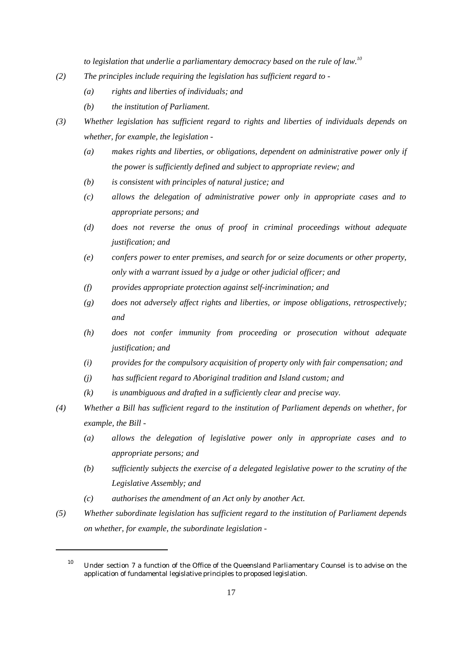*to legislation that underlie a parliamentary democracy based on the rule of law.10*

- *(2) The principles include requiring the legislation has sufficient regard to -*
	- *(a) rights and liberties of individuals; and*
	- *(b) the institution of Parliament.*

*(3) Whether legislation has sufficient regard to rights and liberties of individuals depends on whether, for example, the legislation -*

- *(a) makes rights and liberties, or obligations, dependent on administrative power only if the power is sufficiently defined and subject to appropriate review; and*
- *(b) is consistent with principles of natural justice; and*
- *(c) allows the delegation of administrative power only in appropriate cases and to appropriate persons; and*
- *(d) does not reverse the onus of proof in criminal proceedings without adequate justification; and*
- *(e) confers power to enter premises, and search for or seize documents or other property, only with a warrant issued by a judge or other judicial officer; and*
- *(f) provides appropriate protection against self-incrimination; and*
- *(g) does not adversely affect rights and liberties, or impose obligations, retrospectively; and*
- *(h) does not confer immunity from proceeding or prosecution without adequate justification; and*
- *(i) provides for the compulsory acquisition of property only with fair compensation; and*
- *(j) has sufficient regard to Aboriginal tradition and Island custom; and*
- *(k) is unambiguous and drafted in a sufficiently clear and precise way.*
- *(4) Whether a Bill has sufficient regard to the institution of Parliament depends on whether, for example, the Bill -*
	- *(a) allows the delegation of legislative power only in appropriate cases and to appropriate persons; and*
	- *(b) sufficiently subjects the exercise of a delegated legislative power to the scrutiny of the Legislative Assembly; and*
	- *(c) authorises the amendment of an Act only by another Act.*
- *(5) Whether subordinate legislation has sufficient regard to the institution of Parliament depends on whether, for example, the subordinate legislation -*

 $10$  Under section 7 a function of the Office of the Queensland Parliamentary Counsel is to advise on the application of fundamental legislative principles to proposed legislation.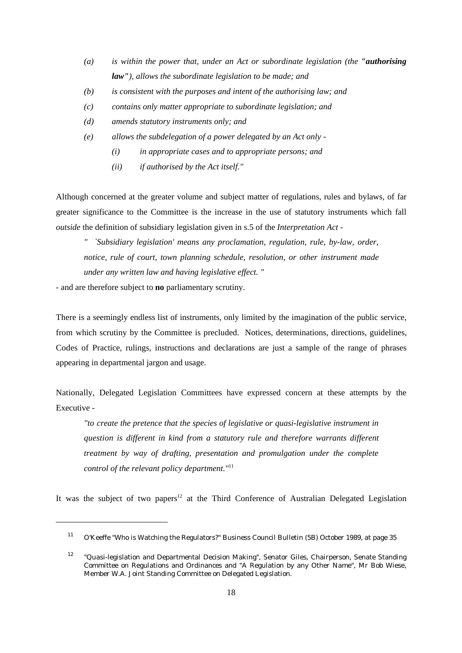- *(a) is within the power that, under an Act or subordinate legislation (the "authorising law"), allows the subordinate legislation to be made; and*
- *(b) is consistent with the purposes and intent of the authorising law; and*
- *(c) contains only matter appropriate to subordinate legislation; and*
- *(d) amends statutory instruments only; and*
- *(e) allows the subdelegation of a power delegated by an Act only -*
	- *(i) in appropriate cases and to appropriate persons; and*
	- *(ii) if authorised by the Act itself."*

Although concerned at the greater volume and subject matter of regulations, rules and bylaws, of far greater significance to the Committee is the increase in the use of statutory instruments which fall *outside* the definition of subsidiary legislation given in s.5 of the *Interpretation Act* -

*" `Subsidiary legislation' means any proclamation, regulation, rule, by-law, order, notice, rule of court, town planning schedule, resolution, or other instrument made under any written law and having legislative effect. "*

- and are therefore subject to **no** parliamentary scrutiny.

There is a seemingly endless list of instruments, only limited by the imagination of the public service, from which scrutiny by the Committee is precluded. Notices, determinations, directions, guidelines, Codes of Practice, rulings, instructions and declarations are just a sample of the range of phrases appearing in departmental jargon and usage.

Nationally, Delegated Legislation Committees have expressed concern at these attempts by the Executive -

*"to create the pretence that the species of legislative or quasi-legislative instrument in question is different in kind from a statutory rule and therefore warrants different treatment by way of drafting, presentation and promulgation under the complete control of the relevant policy department."*<sup>11</sup>

It was the subject of two papers<sup>12</sup> at the Third Conference of Australian Delegated Legislation

<sup>&</sup>lt;sup>11</sup> O'Keeffe "Who is Watching the Regulators?" Business Council Bulletin (5B) October 1989, at page 35

 $12$  "Quasi-legislation and Departmental Decision Making", Senator Giles, Chairperson, Senate Standing Committee on Regulations and Ordinances and "A Regulation by any Other Name", Mr Bob Wiese, Member W.A. Joint Standing Committee on Delegated Legislation.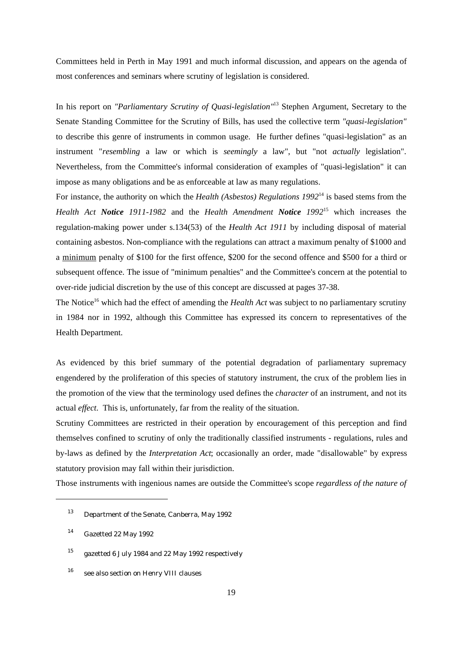Committees held in Perth in May 1991 and much informal discussion, and appears on the agenda of most conferences and seminars where scrutiny of legislation is considered.

In his report on *"Parliamentary Scrutiny of Quasi-legislation*"<sup>13</sup> Stephen Argument, Secretary to the Senate Standing Committee for the Scrutiny of Bills, has used the collective term *"quasi-legislation"* to describe this genre of instruments in common usage. He further defines "quasi-legislation" as an instrument "*resembling* a law or which is *seemingly* a law", but "not *actually* legislation". Nevertheless, from the Committee's informal consideration of examples of "quasi-legislation" it can impose as many obligations and be as enforceable at law as many regulations.

For instance, the authority on which the *Health (Asbestos) Regulations 1992*<sup>14</sup> is based stems from the *Health Act Notice 1911-1982* and the *Health Amendment Notice 1992<sup>15</sup> which increases the* regulation-making power under s.134(53) of the *Health Act 1911* by including disposal of material containing asbestos. Non-compliance with the regulations can attract a maximum penalty of \$1000 and a minimum penalty of \$100 for the first offence, \$200 for the second offence and \$500 for a third or subsequent offence. The issue of "minimum penalties" and the Committee's concern at the potential to over-ride judicial discretion by the use of this concept are discussed at pages 37-38.

The Notice<sup>16</sup> which had the effect of amending the *Health Act* was subject to no parliamentary scrutiny in 1984 nor in 1992, although this Committee has expressed its concern to representatives of the Health Department.

As evidenced by this brief summary of the potential degradation of parliamentary supremacy engendered by the proliferation of this species of statutory instrument, the crux of the problem lies in the promotion of the view that the terminology used defines the *character* of an instrument, and not its actual *effect*. This is, unfortunately, far from the reality of the situation.

Scrutiny Committees are restricted in their operation by encouragement of this perception and find themselves confined to scrutiny of only the traditionally classified instruments - regulations, rules and by-laws as defined by the *Interpretation Act*; occasionally an order, made "disallowable" by express statutory provision may fall within their jurisdiction.

Those instruments with ingenious names are outside the Committee's scope *regardless of the nature of*

 $13$  Department of the Senate, Canberra, May 1992

 $14$  Gazetted 22 May 1992

<sup>&</sup>lt;sup>15</sup> gazetted 6 July 1984 and 22 May 1992 respectively

 $16$  see also section on Henry VIII clauses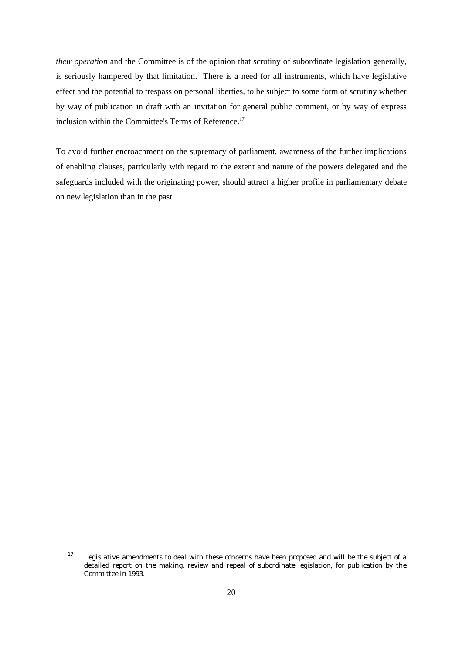*their operation* and the Committee is of the opinion that scrutiny of subordinate legislation generally, is seriously hampered by that limitation. There is a need for all instruments, which have legislative effect and the potential to trespass on personal liberties, to be subject to some form of scrutiny whether by way of publication in draft with an invitation for general public comment, or by way of express inclusion within the Committee's Terms of Reference.<sup>17</sup>

To avoid further encroachment on the supremacy of parliament, awareness of the further implications of enabling clauses, particularly with regard to the extent and nature of the powers delegated and the safeguards included with the originating power, should attract a higher profile in parliamentary debate on new legislation than in the past.

 $17$  Legislative amendments to deal with these concerns have been proposed and will be the subject of a detailed report on the making, review and repeal of subordinate legislation, for publication by the Committee in 1993.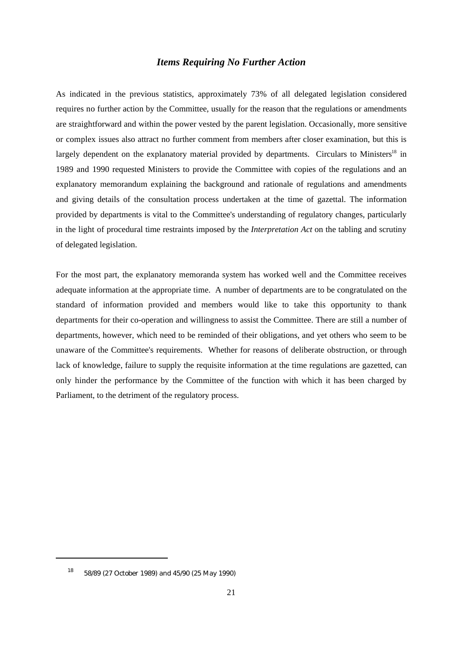## *Items Requiring No Further Action*

As indicated in the previous statistics, approximately 73% of all delegated legislation considered requires no further action by the Committee, usually for the reason that the regulations or amendments are straightforward and within the power vested by the parent legislation. Occasionally, more sensitive or complex issues also attract no further comment from members after closer examination, but this is largely dependent on the explanatory material provided by departments. Circulars to Ministers<sup>18</sup> in 1989 and 1990 requested Ministers to provide the Committee with copies of the regulations and an explanatory memorandum explaining the background and rationale of regulations and amendments and giving details of the consultation process undertaken at the time of gazettal. The information provided by departments is vital to the Committee's understanding of regulatory changes, particularly in the light of procedural time restraints imposed by the *Interpretation Act* on the tabling and scrutiny of delegated legislation.

For the most part, the explanatory memoranda system has worked well and the Committee receives adequate information at the appropriate time. A number of departments are to be congratulated on the standard of information provided and members would like to take this opportunity to thank departments for their co-operation and willingness to assist the Committee. There are still a number of departments, however, which need to be reminded of their obligations, and yet others who seem to be unaware of the Committee's requirements. Whether for reasons of deliberate obstruction, or through lack of knowledge, failure to supply the requisite information at the time regulations are gazetted, can only hinder the performance by the Committee of the function with which it has been charged by Parliament, to the detriment of the regulatory process.

 $18$  58/89 (27 October 1989) and 45/90 (25 May 1990)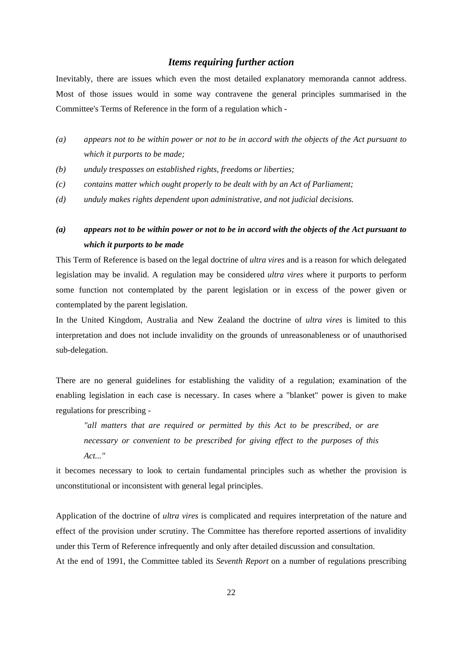## *Items requiring further action*

Inevitably, there are issues which even the most detailed explanatory memoranda cannot address. Most of those issues would in some way contravene the general principles summarised in the Committee's Terms of Reference in the form of a regulation which -

- *(a) appears not to be within power or not to be in accord with the objects of the Act pursuant to which it purports to be made;*
- *(b) unduly trespasses on established rights, freedoms or liberties;*
- *(c) contains matter which ought properly to be dealt with by an Act of Parliament;*
- *(d) unduly makes rights dependent upon administrative, and not judicial decisions.*
- *(a) appears not to be within power or not to be in accord with the objects of the Act pursuant to which it purports to be made*

This Term of Reference is based on the legal doctrine of *ultra vires* and is a reason for which delegated legislation may be invalid. A regulation may be considered *ultra vires* where it purports to perform some function not contemplated by the parent legislation or in excess of the power given or contemplated by the parent legislation.

In the United Kingdom, Australia and New Zealand the doctrine of *ultra vires* is limited to this interpretation and does not include invalidity on the grounds of unreasonableness or of unauthorised sub-delegation.

There are no general guidelines for establishing the validity of a regulation; examination of the enabling legislation in each case is necessary. In cases where a "blanket" power is given to make regulations for prescribing -

*"all matters that are required or permitted by this Act to be prescribed, or are necessary or convenient to be prescribed for giving effect to the purposes of this Act..."*

it becomes necessary to look to certain fundamental principles such as whether the provision is unconstitutional or inconsistent with general legal principles.

Application of the doctrine of *ultra vires* is complicated and requires interpretation of the nature and effect of the provision under scrutiny. The Committee has therefore reported assertions of invalidity under this Term of Reference infrequently and only after detailed discussion and consultation. At the end of 1991, the Committee tabled its *Seventh Report* on a number of regulations prescribing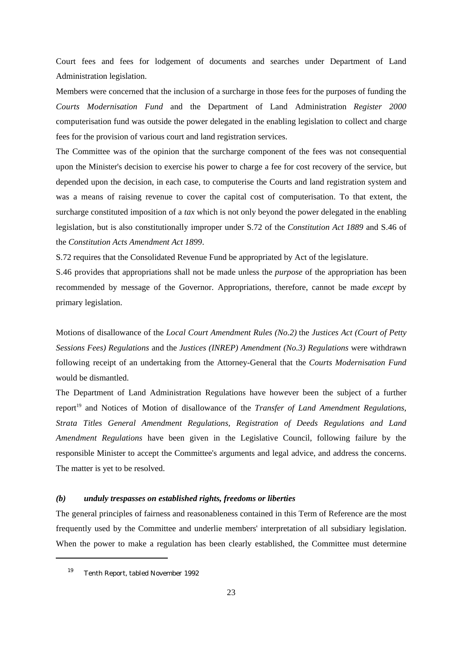Court fees and fees for lodgement of documents and searches under Department of Land Administration legislation.

Members were concerned that the inclusion of a surcharge in those fees for the purposes of funding the *Courts Modernisation Fund* and the Department of Land Administration *Register 2000* computerisation fund was outside the power delegated in the enabling legislation to collect and charge fees for the provision of various court and land registration services.

The Committee was of the opinion that the surcharge component of the fees was not consequential upon the Minister's decision to exercise his power to charge a fee for cost recovery of the service, but depended upon the decision, in each case, to computerise the Courts and land registration system and was a means of raising revenue to cover the capital cost of computerisation. To that extent, the surcharge constituted imposition of a *tax* which is not only beyond the power delegated in the enabling legislation, but is also constitutionally improper under S.72 of the *Constitution Act 1889* and S.46 of the *Constitution Acts Amendment Act 1899*.

S.72 requires that the Consolidated Revenue Fund be appropriated by Act of the legislature.

S.46 provides that appropriations shall not be made unless the *purpose* of the appropriation has been recommended by message of the Governor. Appropriations, therefore, cannot be made *except* by primary legislation.

Motions of disallowance of the *Local Court Amendment Rules (No.2)* the *Justices Act (Court of Petty Sessions Fees) Regulations* and the *Justices (INREP) Amendment (No.3) Regulations* were withdrawn following receipt of an undertaking from the Attorney-General that the *Courts Modernisation Fund* would be dismantled.

The Department of Land Administration Regulations have however been the subject of a further report<sup>19</sup> and Notices of Motion of disallowance of the *Transfer of Land Amendment Regulations*, *Strata Titles General Amendment Regulations, Registration of Deeds Regulations and Land Amendment Regulations* have been given in the Legislative Council, following failure by the responsible Minister to accept the Committee's arguments and legal advice, and address the concerns. The matter is yet to be resolved.

#### *(b) unduly trespasses on established rights, freedoms or liberties*

The general principles of fairness and reasonableness contained in this Term of Reference are the most frequently used by the Committee and underlie members' interpretation of all subsidiary legislation. When the power to make a regulation has been clearly established, the Committee must determine

 $19$  Tenth Report, tabled November 1992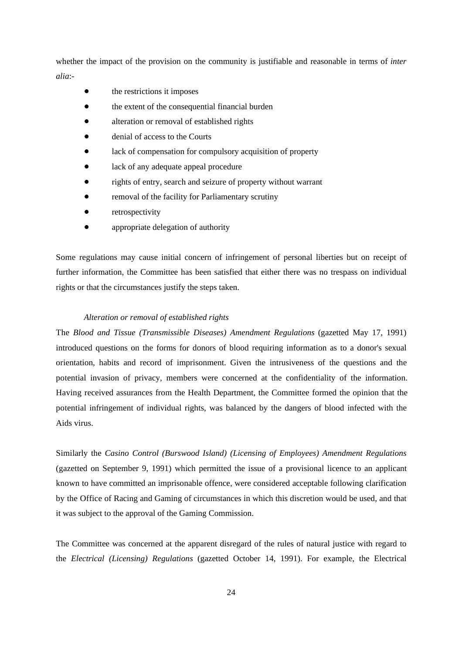whether the impact of the provision on the community is justifiable and reasonable in terms of *inter alia*:-

- $\bullet$ the restrictions it imposes
- $\bullet$ the extent of the consequential financial burden
- $\bullet$ alteration or removal of established rights
- $\bullet$ denial of access to the Courts
- $\bullet$ lack of compensation for compulsory acquisition of property
- $\bullet$ lack of any adequate appeal procedure
- $\bullet$ rights of entry, search and seizure of property without warrant
- $\bullet$ removal of the facility for Parliamentary scrutiny
- $\bullet$ retrospectivity
- $\bullet$ appropriate delegation of authority

Some regulations may cause initial concern of infringement of personal liberties but on receipt of further information, the Committee has been satisfied that either there was no trespass on individual rights or that the circumstances justify the steps taken.

## *Alteration or removal of established rights*

The *Blood and Tissue (Transmissible Diseases) Amendment Regulations* (gazetted May 17, 1991) introduced questions on the forms for donors of blood requiring information as to a donor's sexual orientation, habits and record of imprisonment. Given the intrusiveness of the questions and the potential invasion of privacy, members were concerned at the confidentiality of the information. Having received assurances from the Health Department, the Committee formed the opinion that the potential infringement of individual rights, was balanced by the dangers of blood infected with the Aids virus.

Similarly the *Casino Control (Burswood Island) (Licensing of Employees) Amendment Regulations* (gazetted on September 9, 1991) which permitted the issue of a provisional licence to an applicant known to have committed an imprisonable offence, were considered acceptable following clarification by the Office of Racing and Gaming of circumstances in which this discretion would be used, and that it was subject to the approval of the Gaming Commission.

The Committee was concerned at the apparent disregard of the rules of natural justice with regard to the *Electrical (Licensing) Regulations* (gazetted October 14, 1991). For example, the Electrical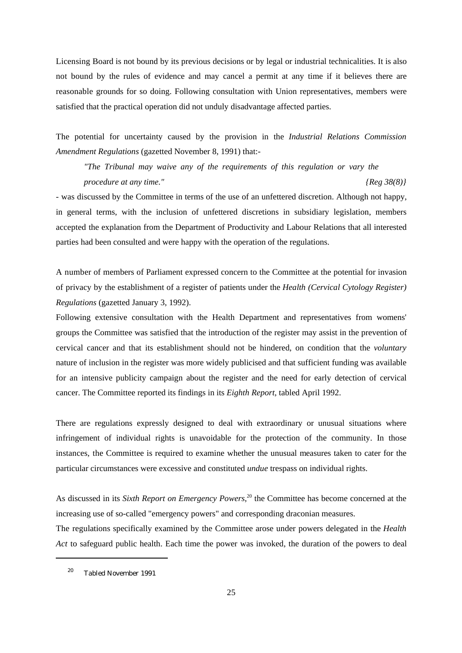Licensing Board is not bound by its previous decisions or by legal or industrial technicalities. It is also not bound by the rules of evidence and may cancel a permit at any time if it believes there are reasonable grounds for so doing. Following consultation with Union representatives, members were satisfied that the practical operation did not unduly disadvantage affected parties.

The potential for uncertainty caused by the provision in the *Industrial Relations Commission Amendment Regulations* (gazetted November 8, 1991) that:-

*"The Tribunal may waive any of the requirements of this regulation or vary the procedure at any time." {Reg 38(8)}*

- was discussed by the Committee in terms of the use of an unfettered discretion. Although not happy, in general terms, with the inclusion of unfettered discretions in subsidiary legislation, members accepted the explanation from the Department of Productivity and Labour Relations that all interested parties had been consulted and were happy with the operation of the regulations.

A number of members of Parliament expressed concern to the Committee at the potential for invasion of privacy by the establishment of a register of patients under the *Health (Cervical Cytology Register) Regulations* (gazetted January 3, 1992).

Following extensive consultation with the Health Department and representatives from womens' groups the Committee was satisfied that the introduction of the register may assist in the prevention of cervical cancer and that its establishment should not be hindered, on condition that the *voluntary* nature of inclusion in the register was more widely publicised and that sufficient funding was available for an intensive publicity campaign about the register and the need for early detection of cervical cancer. The Committee reported its findings in its *Eighth Report*, tabled April 1992.

There are regulations expressly designed to deal with extraordinary or unusual situations where infringement of individual rights is unavoidable for the protection of the community. In those instances, the Committee is required to examine whether the unusual measures taken to cater for the particular circumstances were excessive and constituted *undue* trespass on individual rights.

As discussed in its *Sixth Report on Emergency Powers*<sup>20</sup> the Committee has become concerned at the increasing use of so-called "emergency powers" and corresponding draconian measures.

The regulations specifically examined by the Committee arose under powers delegated in the *Health Act* to safeguard public health. Each time the power was invoked, the duration of the powers to deal

<sup>&</sup>lt;sup>20</sup> Tabled November 1991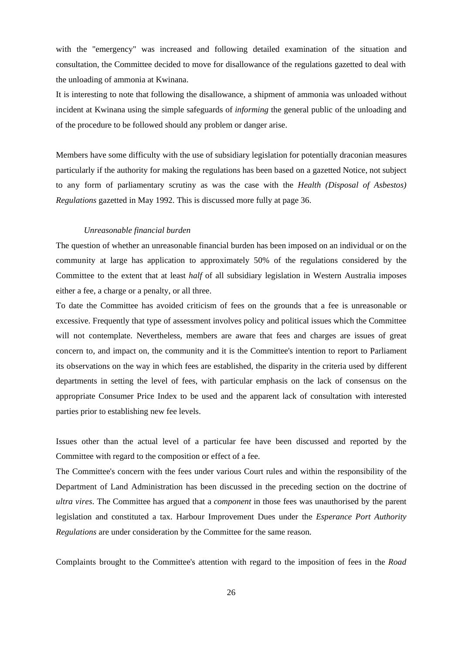with the "emergency" was increased and following detailed examination of the situation and consultation, the Committee decided to move for disallowance of the regulations gazetted to deal with the unloading of ammonia at Kwinana.

It is interesting to note that following the disallowance, a shipment of ammonia was unloaded without incident at Kwinana using the simple safeguards of *informing* the general public of the unloading and of the procedure to be followed should any problem or danger arise.

Members have some difficulty with the use of subsidiary legislation for potentially draconian measures particularly if the authority for making the regulations has been based on a gazetted Notice, not subject to any form of parliamentary scrutiny as was the case with the *Health (Disposal of Asbestos) Regulations* gazetted in May 1992. This is discussed more fully at page 36.

#### *Unreasonable financial burden*

The question of whether an unreasonable financial burden has been imposed on an individual or on the community at large has application to approximately 50% of the regulations considered by the Committee to the extent that at least *half* of all subsidiary legislation in Western Australia imposes either a fee, a charge or a penalty, or all three.

To date the Committee has avoided criticism of fees on the grounds that a fee is unreasonable or excessive. Frequently that type of assessment involves policy and political issues which the Committee will not contemplate. Nevertheless, members are aware that fees and charges are issues of great concern to, and impact on, the community and it is the Committee's intention to report to Parliament its observations on the way in which fees are established, the disparity in the criteria used by different departments in setting the level of fees, with particular emphasis on the lack of consensus on the appropriate Consumer Price Index to be used and the apparent lack of consultation with interested parties prior to establishing new fee levels.

Issues other than the actual level of a particular fee have been discussed and reported by the Committee with regard to the composition or effect of a fee.

The Committee's concern with the fees under various Court rules and within the responsibility of the Department of Land Administration has been discussed in the preceding section on the doctrine of *ultra vires*. The Committee has argued that a *component* in those fees was unauthorised by the parent legislation and constituted a tax. Harbour Improvement Dues under the *Esperance Port Authority Regulations* are under consideration by the Committee for the same reason.

Complaints brought to the Committee's attention with regard to the imposition of fees in the *Road*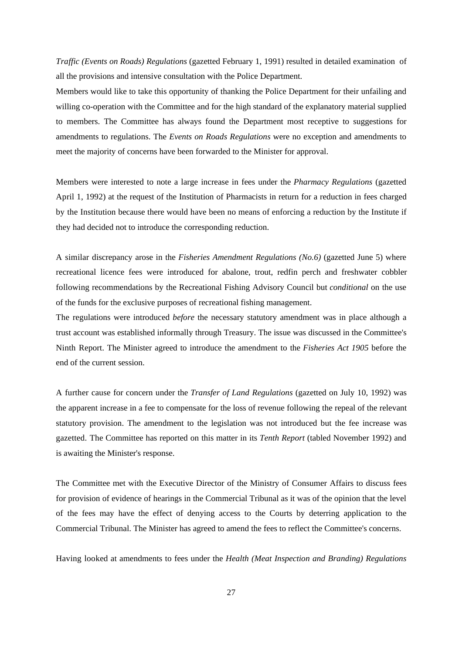*Traffic (Events on Roads) Regulations* (gazetted February 1, 1991) resulted in detailed examination of all the provisions and intensive consultation with the Police Department.

Members would like to take this opportunity of thanking the Police Department for their unfailing and willing co-operation with the Committee and for the high standard of the explanatory material supplied to members. The Committee has always found the Department most receptive to suggestions for amendments to regulations. The *Events on Roads Regulations* were no exception and amendments to meet the majority of concerns have been forwarded to the Minister for approval.

Members were interested to note a large increase in fees under the *Pharmacy Regulations* (gazetted April 1, 1992) at the request of the Institution of Pharmacists in return for a reduction in fees charged by the Institution because there would have been no means of enforcing a reduction by the Institute if they had decided not to introduce the corresponding reduction.

A similar discrepancy arose in the *Fisheries Amendment Regulations (No.6)* (gazetted June 5) where recreational licence fees were introduced for abalone, trout, redfin perch and freshwater cobbler following recommendations by the Recreational Fishing Advisory Council but *conditional* on the use of the funds for the exclusive purposes of recreational fishing management.

The regulations were introduced *before* the necessary statutory amendment was in place although a trust account was established informally through Treasury. The issue was discussed in the Committee's Ninth Report. The Minister agreed to introduce the amendment to the *Fisheries Act 1905* before the end of the current session.

A further cause for concern under the *Transfer of Land Regulations* (gazetted on July 10, 1992) was the apparent increase in a fee to compensate for the loss of revenue following the repeal of the relevant statutory provision. The amendment to the legislation was not introduced but the fee increase was gazetted. The Committee has reported on this matter in its *Tenth Report* (tabled November 1992) and is awaiting the Minister's response.

The Committee met with the Executive Director of the Ministry of Consumer Affairs to discuss fees for provision of evidence of hearings in the Commercial Tribunal as it was of the opinion that the level of the fees may have the effect of denying access to the Courts by deterring application to the Commercial Tribunal. The Minister has agreed to amend the fees to reflect the Committee's concerns.

Having looked at amendments to fees under the *Health (Meat Inspection and Branding) Regulations*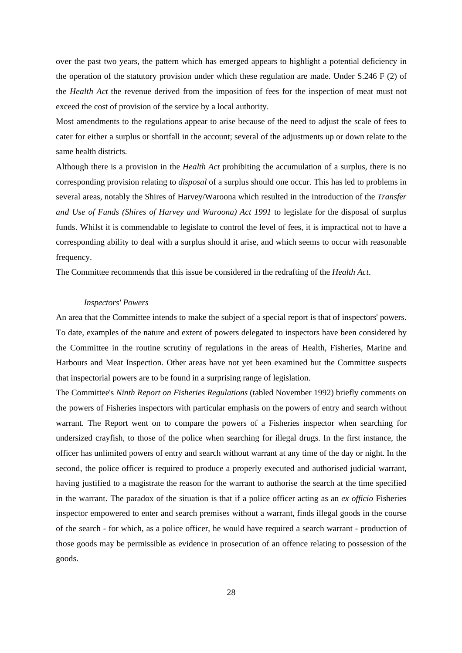over the past two years, the pattern which has emerged appears to highlight a potential deficiency in the operation of the statutory provision under which these regulation are made. Under S.246 F (2) of the *Health Act* the revenue derived from the imposition of fees for the inspection of meat must not exceed the cost of provision of the service by a local authority.

Most amendments to the regulations appear to arise because of the need to adjust the scale of fees to cater for either a surplus or shortfall in the account; several of the adjustments up or down relate to the same health districts.

Although there is a provision in the *Health Act* prohibiting the accumulation of a surplus, there is no corresponding provision relating to *disposal* of a surplus should one occur. This has led to problems in several areas, notably the Shires of Harvey/Waroona which resulted in the introduction of the *Transfer and Use of Funds (Shires of Harvey and Waroona) Act 1991* to legislate for the disposal of surplus funds. Whilst it is commendable to legislate to control the level of fees, it is impractical not to have a corresponding ability to deal with a surplus should it arise, and which seems to occur with reasonable frequency.

The Committee recommends that this issue be considered in the redrafting of the *Health Act*.

#### *Inspectors' Powers*

An area that the Committee intends to make the subject of a special report is that of inspectors' powers. To date, examples of the nature and extent of powers delegated to inspectors have been considered by the Committee in the routine scrutiny of regulations in the areas of Health, Fisheries, Marine and Harbours and Meat Inspection. Other areas have not yet been examined but the Committee suspects that inspectorial powers are to be found in a surprising range of legislation.

The Committee's *Ninth Report on Fisheries Regulations* (tabled November 1992) briefly comments on the powers of Fisheries inspectors with particular emphasis on the powers of entry and search without warrant. The Report went on to compare the powers of a Fisheries inspector when searching for undersized crayfish, to those of the police when searching for illegal drugs. In the first instance, the officer has unlimited powers of entry and search without warrant at any time of the day or night. In the second, the police officer is required to produce a properly executed and authorised judicial warrant, having justified to a magistrate the reason for the warrant to authorise the search at the time specified in the warrant. The paradox of the situation is that if a police officer acting as an *ex officio* Fisheries inspector empowered to enter and search premises without a warrant, finds illegal goods in the course of the search - for which, as a police officer, he would have required a search warrant - production of those goods may be permissible as evidence in prosecution of an offence relating to possession of the goods.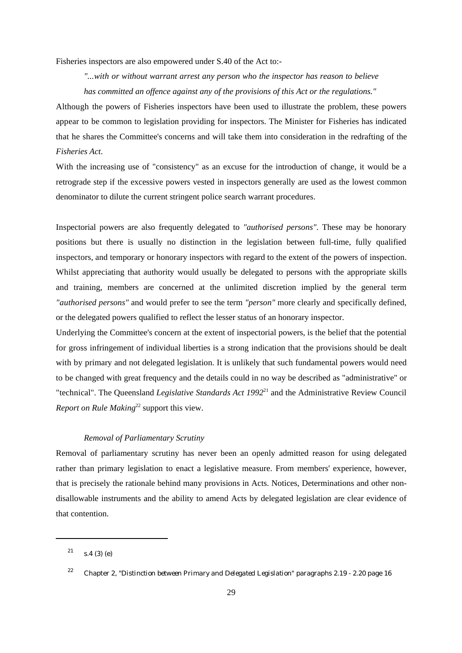Fisheries inspectors are also empowered under S.40 of the Act to:-

*"...with or without warrant arrest any person who the inspector has reason to believe has committed an offence against any of the provisions of this Act or the regulations."*

Although the powers of Fisheries inspectors have been used to illustrate the problem, these powers appear to be common to legislation providing for inspectors. The Minister for Fisheries has indicated that he shares the Committee's concerns and will take them into consideration in the redrafting of the *Fisheries Act*.

With the increasing use of "consistency" as an excuse for the introduction of change, it would be a retrograde step if the excessive powers vested in inspectors generally are used as the lowest common denominator to dilute the current stringent police search warrant procedures.

Inspectorial powers are also frequently delegated to *"authorised persons"*. These may be honorary positions but there is usually no distinction in the legislation between full-time, fully qualified inspectors, and temporary or honorary inspectors with regard to the extent of the powers of inspection. Whilst appreciating that authority would usually be delegated to persons with the appropriate skills and training, members are concerned at the unlimited discretion implied by the general term *"authorised persons"* and would prefer to see the term *"person"* more clearly and specifically defined, or the delegated powers qualified to reflect the lesser status of an honorary inspector.

Underlying the Committee's concern at the extent of inspectorial powers, is the belief that the potential for gross infringement of individual liberties is a strong indication that the provisions should be dealt with by primary and not delegated legislation. It is unlikely that such fundamental powers would need to be changed with great frequency and the details could in no way be described as "administrative" or "technical". The Queensland *Legislative Standards Act 1992*<sup>21</sup> and the Administrative Review Council *Report on Rule Making*<sup>22</sup> support this view.

## *Removal of Parliamentary Scrutiny*

Removal of parliamentary scrutiny has never been an openly admitted reason for using delegated rather than primary legislation to enact a legislative measure. From members' experience, however, that is precisely the rationale behind many provisions in Acts. Notices, Determinations and other nondisallowable instruments and the ability to amend Acts by delegated legislation are clear evidence of that contention.

 $21$  s.4 (3) (e)

<sup>&</sup>lt;sup>22</sup> Chapter 2, *"Distinction between Primary and Delegated Legislation"* paragraphs 2.19 - 2.20 page 16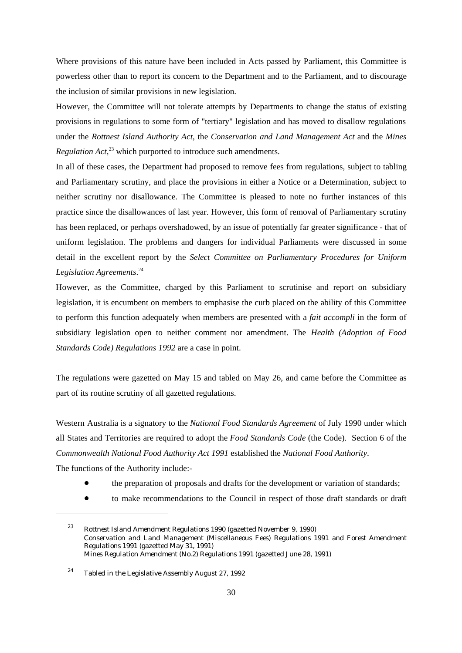Where provisions of this nature have been included in Acts passed by Parliament, this Committee is powerless other than to report its concern to the Department and to the Parliament, and to discourage the inclusion of similar provisions in new legislation.

However, the Committee will not tolerate attempts by Departments to change the status of existing provisions in regulations to some form of "tertiary" legislation and has moved to disallow regulations under the *Rottnest Island Authority Act*, the *Conservation and Land Management Act* and the *Mines Regulation Act*,<sup>23</sup> which purported to introduce such amendments.

In all of these cases, the Department had proposed to remove fees from regulations, subject to tabling and Parliamentary scrutiny, and place the provisions in either a Notice or a Determination, subject to neither scrutiny nor disallowance. The Committee is pleased to note no further instances of this practice since the disallowances of last year. However, this form of removal of Parliamentary scrutiny has been replaced, or perhaps overshadowed, by an issue of potentially far greater significance - that of uniform legislation. The problems and dangers for individual Parliaments were discussed in some detail in the excellent report by the *Select Committee on Parliamentary Procedures for Uniform Legislation Agreements*. 24

However, as the Committee, charged by this Parliament to scrutinise and report on subsidiary legislation, it is encumbent on members to emphasise the curb placed on the ability of this Committee to perform this function adequately when members are presented with a *fait accompli* in the form of subsidiary legislation open to neither comment nor amendment. The *Health (Adoption of Food Standards Code) Regulations 1992* are a case in point.

The regulations were gazetted on May 15 and tabled on May 26, and came before the Committee as part of its routine scrutiny of all gazetted regulations.

Western Australia is a signatory to the *National Food Standards Agreement* of July 1990 under which all States and Territories are required to adopt the *Food Standards Code* (the Code). Section 6 of the *Commonwealth National Food Authority Act 1991* established the *National Food Authority*. The functions of the Authority include:-

- $\bullet$ the preparation of proposals and drafts for the development or variation of standards;
- $\bullet$ to make recommendations to the Council in respect of those draft standards or draft

*Rottnest Island Amendment Regulations 1990* (gazetted November 9, 1990) <sup>23</sup> *Conservation and Land Management (Miscellaneous Fees) Regulations 1991* and *Forest Amendment Regulations 1991* (gazetted May 31, 1991) *Mines Regulation Amendment (No.2) Regulations 1991* (gazetted June 28, 1991)

<sup>&</sup>lt;sup>24</sup> Tabled in the Legislative Assembly August 27, 1992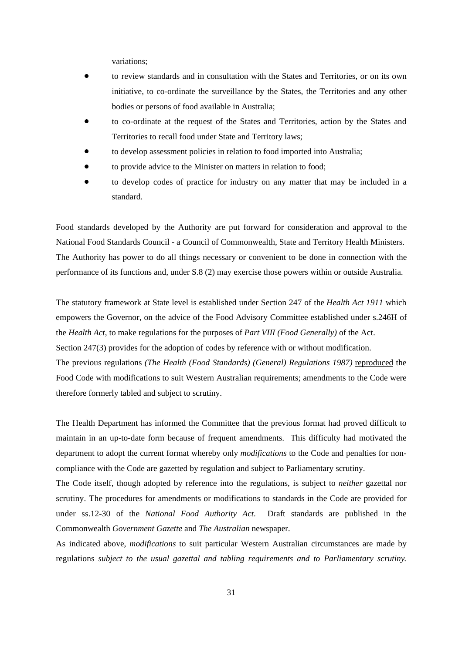variations;

- $\bullet$  to review standards and in consultation with the States and Territories, or on its own initiative, to co-ordinate the surveillance by the States, the Territories and any other bodies or persons of food available in Australia;
- $\bullet$  to co-ordinate at the request of the States and Territories, action by the States and Territories to recall food under State and Territory laws;
- $\bullet$ to develop assessment policies in relation to food imported into Australia;
- $\bullet$ to provide advice to the Minister on matters in relation to food;
- $\bullet$  to develop codes of practice for industry on any matter that may be included in a standard.

Food standards developed by the Authority are put forward for consideration and approval to the National Food Standards Council - a Council of Commonwealth, State and Territory Health Ministers. The Authority has power to do all things necessary or convenient to be done in connection with the performance of its functions and, under S.8 (2) may exercise those powers within or outside Australia.

The statutory framework at State level is established under Section 247 of the *Health Act 1911* which empowers the Governor, on the advice of the Food Advisory Committee established under s.246H of the *Health Act*, to make regulations for the purposes of *Part VIII (Food Generally)* of the Act. Section 247(3) provides for the adoption of codes by reference with or without modification. The previous regulations *(The Health (Food Standards) (General) Regulations 1987)* reproduced the Food Code with modifications to suit Western Australian requirements; amendments to the Code were therefore formerly tabled and subject to scrutiny.

The Health Department has informed the Committee that the previous format had proved difficult to maintain in an up-to-date form because of frequent amendments. This difficulty had motivated the department to adopt the current format whereby only *modifications* to the Code and penalties for noncompliance with the Code are gazetted by regulation and subject to Parliamentary scrutiny.

The Code itself, though adopted by reference into the regulations, is subject to *neither* gazettal nor scrutiny. The procedures for amendments or modifications to standards in the Code are provided for under ss.12-30 of the *National Food Authority Act*. Draft standards are published in the Commonwealth *Government Gazette* and *The Australian* newspaper.

As indicated above, *modifications* to suit particular Western Australian circumstances are made by regulations *subject to the usual gazettal and tabling requirements and to Parliamentary scrutiny*.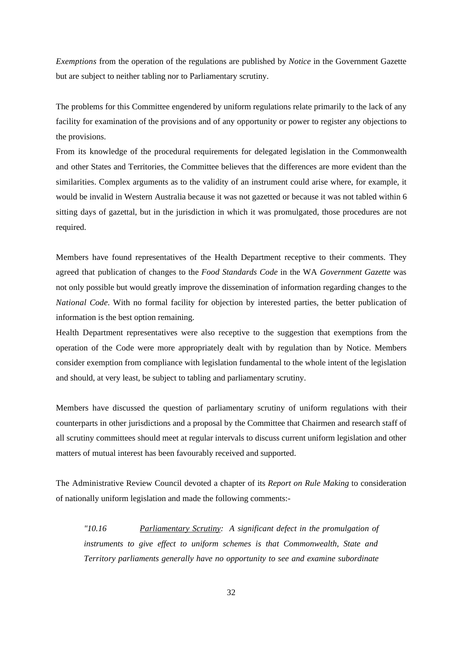*Exemptions* from the operation of the regulations are published by *Notice* in the Government Gazette but are subject to neither tabling nor to Parliamentary scrutiny.

The problems for this Committee engendered by uniform regulations relate primarily to the lack of any facility for examination of the provisions and of any opportunity or power to register any objections to the provisions.

From its knowledge of the procedural requirements for delegated legislation in the Commonwealth and other States and Territories, the Committee believes that the differences are more evident than the similarities. Complex arguments as to the validity of an instrument could arise where, for example, it would be invalid in Western Australia because it was not gazetted or because it was not tabled within 6 sitting days of gazettal, but in the jurisdiction in which it was promulgated, those procedures are not required.

Members have found representatives of the Health Department receptive to their comments. They agreed that publication of changes to the *Food Standards Code* in the WA *Government Gazette* was not only possible but would greatly improve the dissemination of information regarding changes to the *National Code*. With no formal facility for objection by interested parties, the better publication of information is the best option remaining.

Health Department representatives were also receptive to the suggestion that exemptions from the operation of the Code were more appropriately dealt with by regulation than by Notice. Members consider exemption from compliance with legislation fundamental to the whole intent of the legislation and should, at very least, be subject to tabling and parliamentary scrutiny.

Members have discussed the question of parliamentary scrutiny of uniform regulations with their counterparts in other jurisdictions and a proposal by the Committee that Chairmen and research staff of all scrutiny committees should meet at regular intervals to discuss current uniform legislation and other matters of mutual interest has been favourably received and supported.

The Administrative Review Council devoted a chapter of its *Report on Rule Making* to consideration of nationally uniform legislation and made the following comments:-

*"10.16 Parliamentary Scrutiny: A significant defect in the promulgation of instruments to give effect to uniform schemes is that Commonwealth, State and Territory parliaments generally have no opportunity to see and examine subordinate*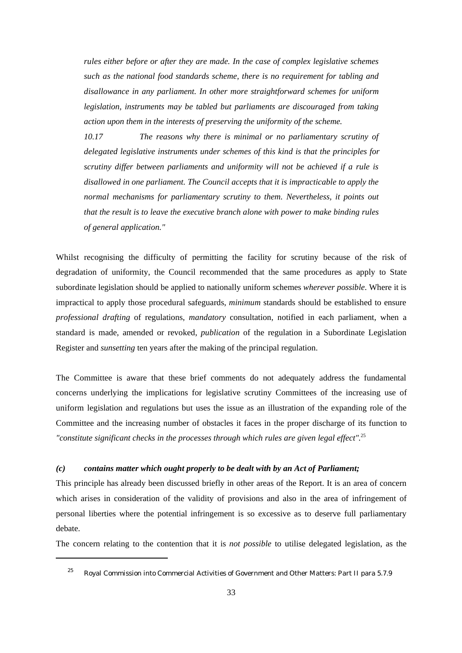*rules either before or after they are made. In the case of complex legislative schemes such as the national food standards scheme, there is no requirement for tabling and disallowance in any parliament. In other more straightforward schemes for uniform legislation, instruments may be tabled but parliaments are discouraged from taking action upon them in the interests of preserving the uniformity of the scheme.*

*10.17 The reasons why there is minimal or no parliamentary scrutiny of delegated legislative instruments under schemes of this kind is that the principles for scrutiny differ between parliaments and uniformity will not be achieved if a rule is disallowed in one parliament. The Council accepts that it is impracticable to apply the normal mechanisms for parliamentary scrutiny to them. Nevertheless, it points out that the result is to leave the executive branch alone with power to make binding rules of general application."*

Whilst recognising the difficulty of permitting the facility for scrutiny because of the risk of degradation of uniformity, the Council recommended that the same procedures as apply to State subordinate legislation should be applied to nationally uniform schemes *wherever possible*. Where it is impractical to apply those procedural safeguards, *minimum* standards should be established to ensure *professional drafting* of regulations, *mandatory* consultation, notified in each parliament, when a standard is made, amended or revoked, *publication* of the regulation in a Subordinate Legislation Register and *sunsetting* ten years after the making of the principal regulation.

The Committee is aware that these brief comments do not adequately address the fundamental concerns underlying the implications for legislative scrutiny Committees of the increasing use of uniform legislation and regulations but uses the issue as an illustration of the expanding role of the Committee and the increasing number of obstacles it faces in the proper discharge of its function to *"constitute significant checks in the processes through which rules are given legal effect"*. 25

#### *(c) contains matter which ought properly to be dealt with by an Act of Parliament;*

This principle has already been discussed briefly in other areas of the Report. It is an area of concern which arises in consideration of the validity of provisions and also in the area of infringement of personal liberties where the potential infringement is so excessive as to deserve full parliamentary debate.

The concern relating to the contention that it is *not possible* to utilise delegated legislation, as the

 $^{25}$  Royal Commission into Commercial Activities of Government and Other Matters: Part II para 5.7.9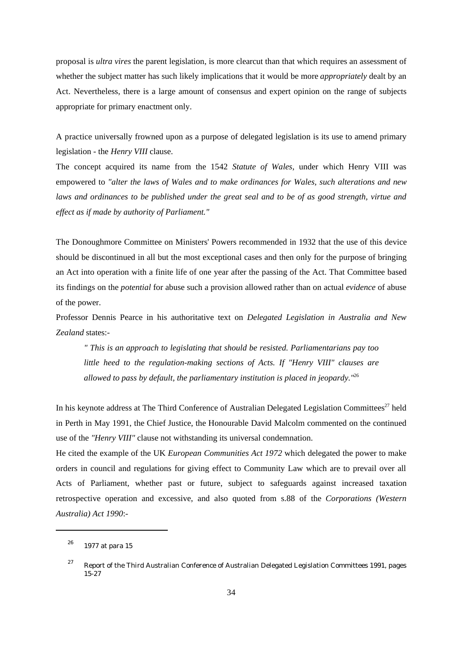proposal is *ultra vires* the parent legislation, is more clearcut than that which requires an assessment of whether the subject matter has such likely implications that it would be more *appropriately* dealt by an Act. Nevertheless, there is a large amount of consensus and expert opinion on the range of subjects appropriate for primary enactment only.

A practice universally frowned upon as a purpose of delegated legislation is its use to amend primary legislation - the *Henry VIII* clause.

The concept acquired its name from the 1542 *Statute of Wales*, under which Henry VIII was empowered to *"alter the laws of Wales and to make ordinances for Wales, such alterations and new laws and ordinances to be published under the great seal and to be of as good strength, virtue and effect as if made by authority of Parliament."*

The Donoughmore Committee on Ministers' Powers recommended in 1932 that the use of this device should be discontinued in all but the most exceptional cases and then only for the purpose of bringing an Act into operation with a finite life of one year after the passing of the Act. That Committee based its findings on the *potential* for abuse such a provision allowed rather than on actual *evidence* of abuse of the power.

Professor Dennis Pearce in his authoritative text on *Delegated Legislation in Australia and New Zealand* states:-

*" This is an approach to legislating that should be resisted. Parliamentarians pay too little heed to the regulation-making sections of Acts. If "Henry VIII" clauses are allowed to pass by default, the parliamentary institution is placed in jeopardy."*<sup>26</sup>

In his keynote address at The Third Conference of Australian Delegated Legislation Committees<sup>27</sup> held in Perth in May 1991, the Chief Justice, the Honourable David Malcolm commented on the continued use of the *"Henry VIII"* clause not withstanding its universal condemnation.

He cited the example of the UK *European Communities Act 1972* which delegated the power to make orders in council and regulations for giving effect to Community Law which are to prevail over all Acts of Parliament, whether past or future, subject to safeguards against increased taxation retrospective operation and excessive, and also quoted from s.88 of the *Corporations (Western Australia) Act 1990*:-

 $1977$  at para 15

<sup>&</sup>lt;sup>27</sup> Report of the Third Australian Conference of Australian Delegated Legislation Committees 1991, pages 15-27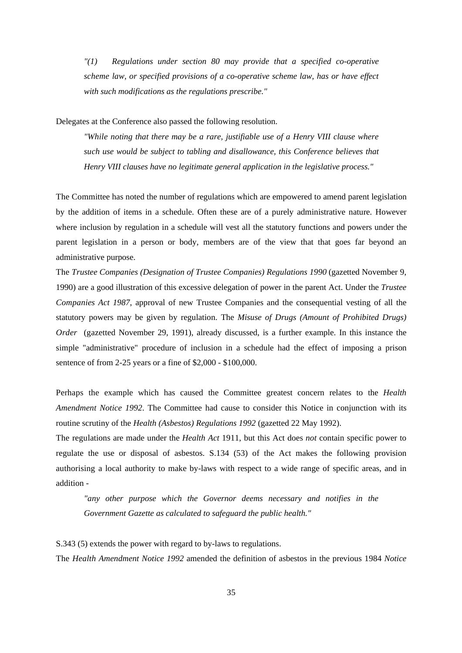*"(1) Regulations under section 80 may provide that a specified co-operative scheme law, or specified provisions of a co-operative scheme law, has or have effect with such modifications as the regulations prescribe."*

Delegates at the Conference also passed the following resolution.

*"While noting that there may be a rare, justifiable use of a Henry VIII clause where such use would be subject to tabling and disallowance, this Conference believes that Henry VIII clauses have no legitimate general application in the legislative process."*

The Committee has noted the number of regulations which are empowered to amend parent legislation by the addition of items in a schedule. Often these are of a purely administrative nature. However where inclusion by regulation in a schedule will vest all the statutory functions and powers under the parent legislation in a person or body, members are of the view that that goes far beyond an administrative purpose.

The *Trustee Companies (Designation of Trustee Companies) Regulations 1990* (gazetted November 9, 1990) are a good illustration of this excessive delegation of power in the parent Act. Under the *Trustee Companies Act 1987*, approval of new Trustee Companies and the consequential vesting of all the statutory powers may be given by regulation. The *Misuse of Drugs (Amount of Prohibited Drugs) Order* (gazetted November 29, 1991), already discussed, is a further example. In this instance the simple "administrative" procedure of inclusion in a schedule had the effect of imposing a prison sentence of from 2-25 years or a fine of \$2,000 - \$100,000.

Perhaps the example which has caused the Committee greatest concern relates to the *Health Amendment Notice 1992*. The Committee had cause to consider this Notice in conjunction with its routine scrutiny of the *Health (Asbestos) Regulations 1992* (gazetted 22 May 1992).

The regulations are made under the *Health Act* 1911, but this Act does *not* contain specific power to regulate the use or disposal of asbestos. S.134 (53) of the Act makes the following provision authorising a local authority to make by-laws with respect to a wide range of specific areas, and in addition -

*"any other purpose which the Governor deems necessary and notifies in the Government Gazette as calculated to safeguard the public health."*

S.343 (5) extends the power with regard to by-laws to regulations.

The *Health Amendment Notice 1992* amended the definition of asbestos in the previous 1984 *Notice*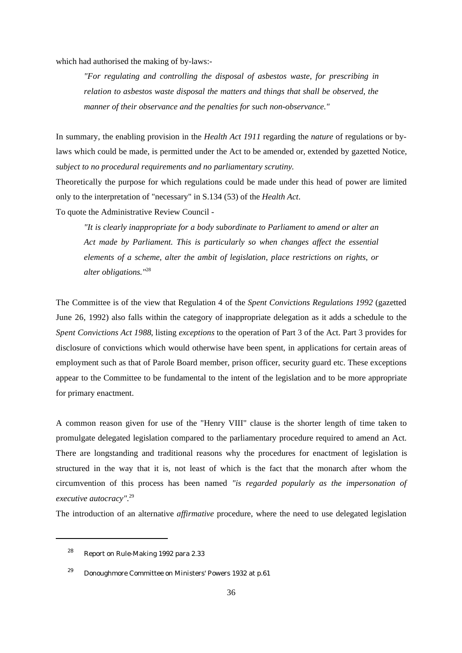which had authorised the making of by-laws:-

*"For regulating and controlling the disposal of asbestos waste, for prescribing in relation to asbestos waste disposal the matters and things that shall be observed, the manner of their observance and the penalties for such non-observance."*

In summary, the enabling provision in the *Health Act 1911* regarding the *nature* of regulations or bylaws which could be made, is permitted under the Act to be amended or, extended by gazetted Notice, *subject to no procedural requirements and no parliamentary scrutiny*.

Theoretically the purpose for which regulations could be made under this head of power are limited only to the interpretation of "necessary" in S.134 (53) of the *Health Act*.

To quote the Administrative Review Council -

*"It is clearly inappropriate for a body subordinate to Parliament to amend or alter an Act made by Parliament. This is particularly so when changes affect the essential elements of a scheme, alter the ambit of legislation, place restrictions on rights, or alter obligations."*<sup>28</sup>

The Committee is of the view that Regulation 4 of the *Spent Convictions Regulations 1992* (gazetted June 26, 1992) also falls within the category of inappropriate delegation as it adds a schedule to the *Spent Convictions Act 1988*, listing *exceptions* to the operation of Part 3 of the Act. Part 3 provides for disclosure of convictions which would otherwise have been spent, in applications for certain areas of employment such as that of Parole Board member, prison officer, security guard etc. These exceptions appear to the Committee to be fundamental to the intent of the legislation and to be more appropriate for primary enactment.

A common reason given for use of the "Henry VIII" clause is the shorter length of time taken to promulgate delegated legislation compared to the parliamentary procedure required to amend an Act. There are longstanding and traditional reasons why the procedures for enactment of legislation is structured in the way that it is, not least of which is the fact that the monarch after whom the circumvention of this process has been named *"is regarded popularly as the impersonation of executive autocracy"*. 29

The introduction of an alternative *affirmative* procedure, where the need to use delegated legislation

 $28$  Report on Rule-Making 1992 para 2.33

<sup>&</sup>lt;sup>29</sup> Donoughmore Committee on Ministers' Powers 1932 at p.61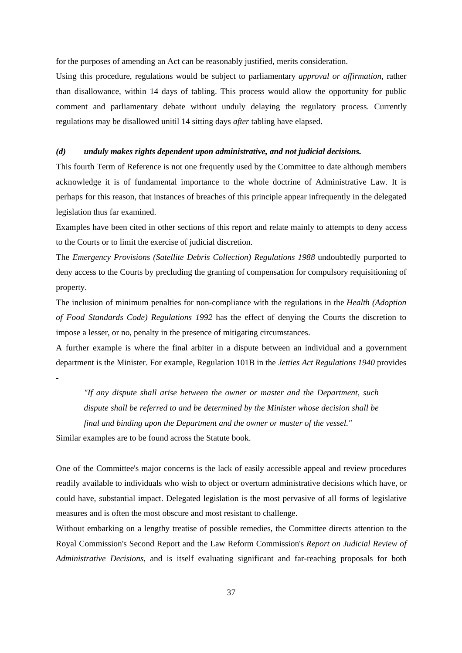for the purposes of amending an Act can be reasonably justified, merits consideration.

Using this procedure, regulations would be subject to parliamentary *approval or affirmation*, rather than disallowance, within 14 days of tabling. This process would allow the opportunity for public comment and parliamentary debate without unduly delaying the regulatory process. Currently regulations may be disallowed unitil 14 sitting days *after* tabling have elapsed.

#### *(d) unduly makes rights dependent upon administrative, and not judicial decisions.*

This fourth Term of Reference is not one frequently used by the Committee to date although members acknowledge it is of fundamental importance to the whole doctrine of Administrative Law. It is perhaps for this reason, that instances of breaches of this principle appear infrequently in the delegated legislation thus far examined.

Examples have been cited in other sections of this report and relate mainly to attempts to deny access to the Courts or to limit the exercise of judicial discretion.

The *Emergency Provisions (Satellite Debris Collection) Regulations 1988* undoubtedly purported to deny access to the Courts by precluding the granting of compensation for compulsory requisitioning of property.

The inclusion of minimum penalties for non-compliance with the regulations in the *Health (Adoption of Food Standards Code) Regulations 1992* has the effect of denying the Courts the discretion to impose a lesser, or no, penalty in the presence of mitigating circumstances.

A further example is where the final arbiter in a dispute between an individual and a government department is the Minister. For example, Regulation 101B in the *Jetties Act Regulations 1940* provides

-

*"If any dispute shall arise between the owner or master and the Department, such dispute shall be referred to and be determined by the Minister whose decision shall be final and binding upon the Department and the owner or master of the vessel."* Similar examples are to be found across the Statute book.

One of the Committee's major concerns is the lack of easily accessible appeal and review procedures readily available to individuals who wish to object or overturn administrative decisions which have, or could have, substantial impact. Delegated legislation is the most pervasive of all forms of legislative measures and is often the most obscure and most resistant to challenge.

Without embarking on a lengthy treatise of possible remedies, the Committee directs attention to the Royal Commission's Second Report and the Law Reform Commission's *Report on Judicial Review of Administrative Decisions*, and is itself evaluating significant and far-reaching proposals for both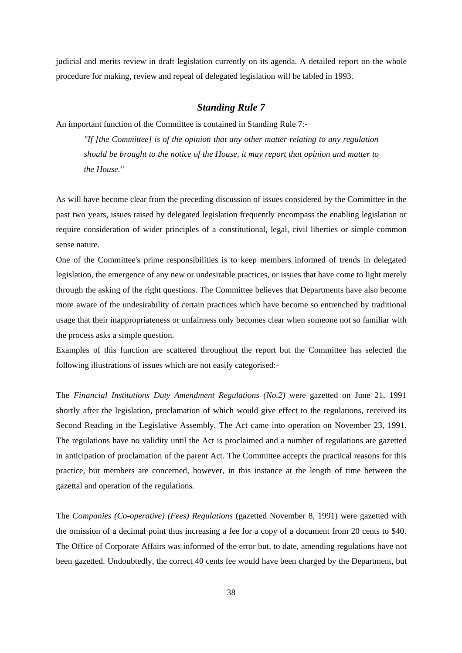judicial and merits review in draft legislation currently on its agenda. A detailed report on the whole procedure for making, review and repeal of delegated legislation will be tabled in 1993.

## *Standing Rule 7*

An important function of the Committee is contained in Standing Rule 7:-

*"If [the Committee] is of the opinion that any other matter relating to any regulation should be brought to the notice of the House, it may report that opinion and matter to the House."*

As will have become clear from the preceding discussion of issues considered by the Committee in the past two years, issues raised by delegated legislation frequently encompass the enabling legislation or require consideration of wider principles of a constitutional, legal, civil liberties or simple common sense nature.

One of the Committee's prime responsibilities is to keep members informed of trends in delegated legislation, the emergence of any new or undesirable practices, or issues that have come to light merely through the asking of the right questions. The Committee believes that Departments have also become more aware of the undesirability of certain practices which have become so entrenched by traditional usage that their inappropriateness or unfairness only becomes clear when someone not so familiar with the process asks a simple question.

Examples of this function are scattered throughout the report but the Committee has selected the following illustrations of issues which are not easily categorised:-

The *Financial Institutions Duty Amendment Regulations (No.2)* were gazetted on June 21, 1991 shortly after the legislation, proclamation of which would give effect to the regulations, received its Second Reading in the Legislative Assembly. The Act came into operation on November 23, 1991. The regulations have no validity until the Act is proclaimed and a number of regulations are gazetted in anticipation of proclamation of the parent Act. The Committee accepts the practical reasons for this practice, but members are concerned, however, in this instance at the length of time between the gazettal and operation of the regulations.

The *Companies (Co-operative) (Fees) Regulations* (gazetted November 8, 1991) were gazetted with the omission of a decimal point thus increasing a fee for a copy of a document from 20 cents to \$40. The Office of Corporate Affairs was informed of the error but, to date, amending regulations have not been gazetted. Undoubtedly, the correct 40 cents fee would have been charged by the Department, but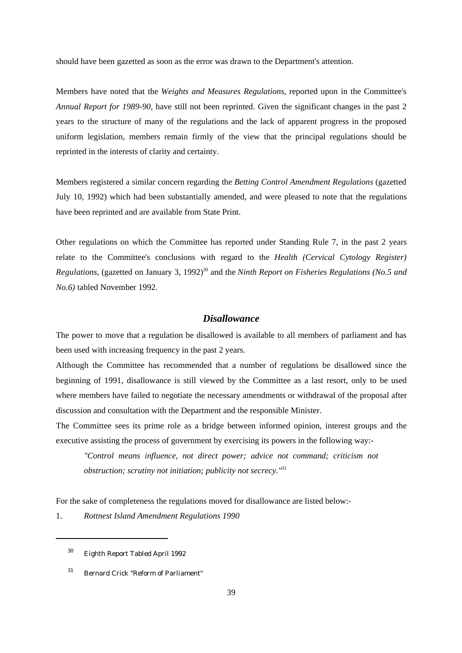should have been gazetted as soon as the error was drawn to the Department's attention.

Members have noted that the *Weights and Measures Regulations*, reported upon in the Committee's *Annual Report for 1989-90*, have still not been reprinted. Given the significant changes in the past 2 years to the structure of many of the regulations and the lack of apparent progress in the proposed uniform legislation, members remain firmly of the view that the principal regulations should be reprinted in the interests of clarity and certainty.

Members registered a similar concern regarding the *Betting Control Amendment Regulations* (gazetted July 10, 1992) which had been substantially amended, and were pleased to note that the regulations have been reprinted and are available from State Print.

Other regulations on which the Committee has reported under Standing Rule 7, in the past 2 years relate to the Committee's conclusions with regard to the *Health (Cervical Cytology Register) Regulations*, (gazetted on January 3, 1992)<sup>30</sup> and the *Ninth Report on Fisheries Regulations (No.5 and No.6)* tabled November 1992.

## *Disallowance*

The power to move that a regulation be disallowed is available to all members of parliament and has been used with increasing frequency in the past 2 years.

Although the Committee has recommended that a number of regulations be disallowed since the beginning of 1991, disallowance is still viewed by the Committee as a last resort, only to be used where members have failed to negotiate the necessary amendments or withdrawal of the proposal after discussion and consultation with the Department and the responsible Minister.

The Committee sees its prime role as a bridge between informed opinion, interest groups and the executive assisting the process of government by exercising its powers in the following way:-

*"Control means influence, not direct power; advice not command; criticism not obstruction; scrutiny not initiation; publicity not secrecy."*<sup>31</sup>

For the sake of completeness the regulations moved for disallowance are listed below:-

1. *Rottnest Island Amendment Regulations 1990*

<sup>&</sup>lt;sup>30</sup> Eighth Report Tabled April 1992

 $31$  Bernard Crick "Reform of Parliament"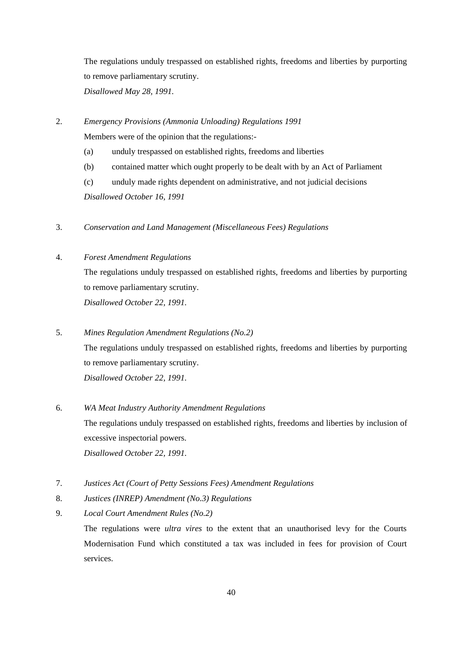The regulations unduly trespassed on established rights, freedoms and liberties by purporting to remove parliamentary scrutiny. *Disallowed May 28, 1991.*

- 2. *Emergency Provisions (Ammonia Unloading) Regulations 1991* Members were of the opinion that the regulations:-
	- (a) unduly trespassed on established rights, freedoms and liberties
	- (b) contained matter which ought properly to be dealt with by an Act of Parliament
	- (c) unduly made rights dependent on administrative, and not judicial decisions *Disallowed October 16, 1991*
- 3. *Conservation and Land Management (Miscellaneous Fees) Regulations*

## 4. *Forest Amendment Regulations*

The regulations unduly trespassed on established rights, freedoms and liberties by purporting to remove parliamentary scrutiny. *Disallowed October 22, 1991.*

- 5. *Mines Regulation Amendment Regulations (No.2)* The regulations unduly trespassed on established rights, freedoms and liberties by purporting to remove parliamentary scrutiny. *Disallowed October 22, 1991.*
- 6. *WA Meat Industry Authority Amendment Regulations* The regulations unduly trespassed on established rights, freedoms and liberties by inclusion of excessive inspectorial powers. *Disallowed October 22, 1991.*
- 7. *Justices Act (Court of Petty Sessions Fees) Amendment Regulations*
- 8. *Justices (INREP) Amendment (No.3) Regulations*
- 9. *Local Court Amendment Rules (No.2)* The regulations were *ultra vires* to the extent that an unauthorised levy for the Courts Modernisation Fund which constituted a tax was included in fees for provision of Court services.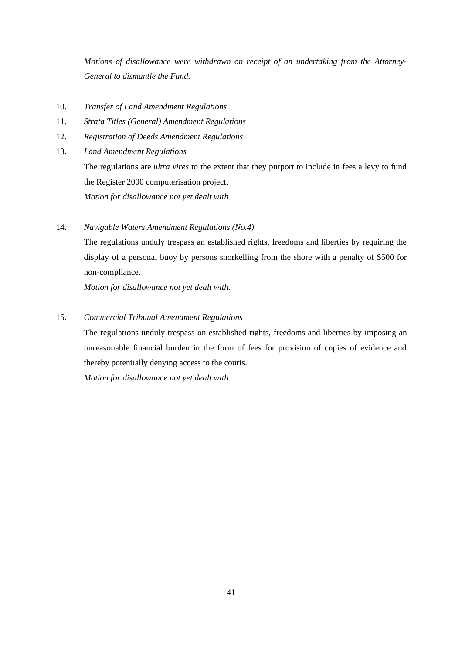*Motions of disallowance were withdrawn on receipt of an undertaking from the Attorney-General to dismantle the Fund.*

- 10. *Transfer of Land Amendment Regulations*
- 11. *Strata Titles (General) Amendment Regulations*
- 12. *Registration of Deeds Amendment Regulations*
- 13. *Land Amendment Regulations*

The regulations are *ultra vires* to the extent that they purport to include in fees a levy to fund the Register 2000 computerisation project. *Motion for disallowance not yet dealt with.*

14. *Navigable Waters Amendment Regulations (No.4)*

The regulations unduly trespass an established rights, freedoms and liberties by requiring the display of a personal buoy by persons snorkelling from the shore with a penalty of \$500 for non-compliance.

*Motion for disallowance not yet dealt with.*

## 15. *Commercial Tribunal Amendment Regulations*

The regulations unduly trespass on established rights, freedoms and liberties by imposing an unreasonable financial burden in the form of fees for provision of copies of evidence and thereby potentially denying access to the courts.

*Motion for disallowance not yet dealt with.*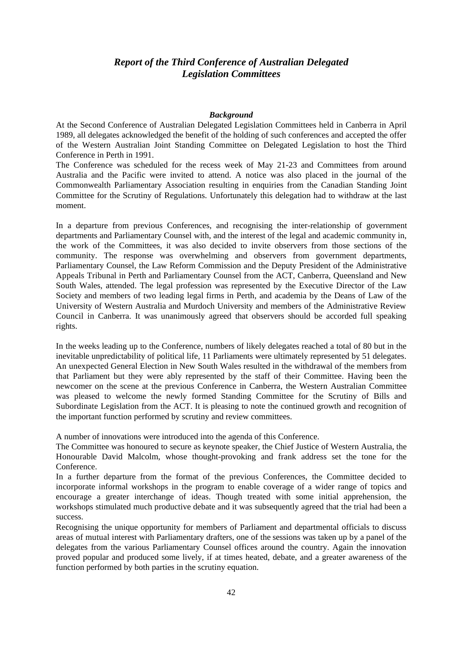## *Report of the Third Conference of Australian Delegated Legislation Committees*

#### *Background*

At the Second Conference of Australian Delegated Legislation Committees held in Canberra in April 1989, all delegates acknowledged the benefit of the holding of such conferences and accepted the offer of the Western Australian Joint Standing Committee on Delegated Legislation to host the Third Conference in Perth in 1991.

The Conference was scheduled for the recess week of May 21-23 and Committees from around Australia and the Pacific were invited to attend. A notice was also placed in the journal of the Commonwealth Parliamentary Association resulting in enquiries from the Canadian Standing Joint Committee for the Scrutiny of Regulations. Unfortunately this delegation had to withdraw at the last moment.

In a departure from previous Conferences, and recognising the inter-relationship of government departments and Parliamentary Counsel with, and the interest of the legal and academic community in, the work of the Committees, it was also decided to invite observers from those sections of the community. The response was overwhelming and observers from government departments, Parliamentary Counsel, the Law Reform Commission and the Deputy President of the Administrative Appeals Tribunal in Perth and Parliamentary Counsel from the ACT, Canberra, Queensland and New South Wales, attended. The legal profession was represented by the Executive Director of the Law Society and members of two leading legal firms in Perth, and academia by the Deans of Law of the University of Western Australia and Murdoch University and members of the Administrative Review Council in Canberra. It was unanimously agreed that observers should be accorded full speaking rights.

In the weeks leading up to the Conference, numbers of likely delegates reached a total of 80 but in the inevitable unpredictability of political life, 11 Parliaments were ultimately represented by 51 delegates. An unexpected General Election in New South Wales resulted in the withdrawal of the members from that Parliament but they were ably represented by the staff of their Committee. Having been the newcomer on the scene at the previous Conference in Canberra, the Western Australian Committee was pleased to welcome the newly formed Standing Committee for the Scrutiny of Bills and Subordinate Legislation from the ACT. It is pleasing to note the continued growth and recognition of the important function performed by scrutiny and review committees.

A number of innovations were introduced into the agenda of this Conference.

The Committee was honoured to secure as keynote speaker, the Chief Justice of Western Australia, the Honourable David Malcolm, whose thought-provoking and frank address set the tone for the Conference.

In a further departure from the format of the previous Conferences, the Committee decided to incorporate informal workshops in the program to enable coverage of a wider range of topics and encourage a greater interchange of ideas. Though treated with some initial apprehension, the workshops stimulated much productive debate and it was subsequently agreed that the trial had been a success.

Recognising the unique opportunity for members of Parliament and departmental officials to discuss areas of mutual interest with Parliamentary drafters, one of the sessions was taken up by a panel of the delegates from the various Parliamentary Counsel offices around the country. Again the innovation proved popular and produced some lively, if at times heated, debate, and a greater awareness of the function performed by both parties in the scrutiny equation.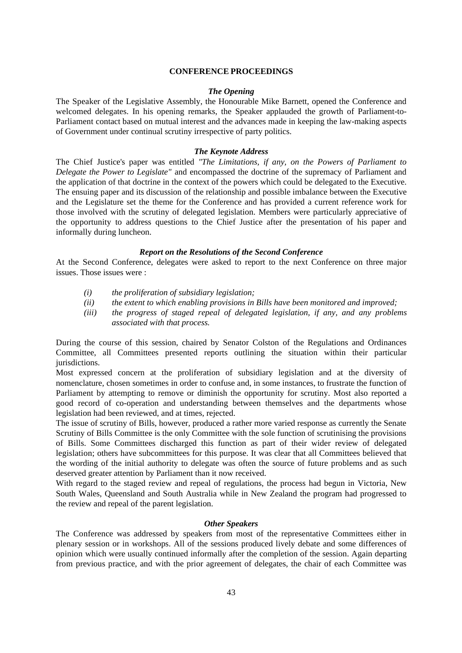#### **CONFERENCE PROCEEDINGS**

#### *The Opening*

The Speaker of the Legislative Assembly, the Honourable Mike Barnett, opened the Conference and welcomed delegates. In his opening remarks, the Speaker applauded the growth of Parliament-to-Parliament contact based on mutual interest and the advances made in keeping the law-making aspects of Government under continual scrutiny irrespective of party politics.

#### *The Keynote Address*

The Chief Justice's paper was entitled *"The Limitations, if any, on the Powers of Parliament to Delegate the Power to Legislate"* and encompassed the doctrine of the supremacy of Parliament and the application of that doctrine in the context of the powers which could be delegated to the Executive. The ensuing paper and its discussion of the relationship and possible imbalance between the Executive and the Legislature set the theme for the Conference and has provided a current reference work for those involved with the scrutiny of delegated legislation. Members were particularly appreciative of the opportunity to address questions to the Chief Justice after the presentation of his paper and informally during luncheon.

#### *Report on the Resolutions of the Second Conference*

At the Second Conference, delegates were asked to report to the next Conference on three major issues. Those issues were :

- *(i) the proliferation of subsidiary legislation;*
- *(ii) the extent to which enabling provisions in Bills have been monitored and improved;*
- *(iii) the progress of staged repeal of delegated legislation, if any, and any problems associated with that process.*

During the course of this session, chaired by Senator Colston of the Regulations and Ordinances Committee, all Committees presented reports outlining the situation within their particular jurisdictions.

Most expressed concern at the proliferation of subsidiary legislation and at the diversity of nomenclature, chosen sometimes in order to confuse and, in some instances, to frustrate the function of Parliament by attempting to remove or diminish the opportunity for scrutiny. Most also reported a good record of co-operation and understanding between themselves and the departments whose legislation had been reviewed, and at times, rejected.

The issue of scrutiny of Bills, however, produced a rather more varied response as currently the Senate Scrutiny of Bills Committee is the only Committee with the sole function of scrutinising the provisions of Bills. Some Committees discharged this function as part of their wider review of delegated legislation; others have subcommittees for this purpose. It was clear that all Committees believed that the wording of the initial authority to delegate was often the source of future problems and as such deserved greater attention by Parliament than it now received.

With regard to the staged review and repeal of regulations, the process had begun in Victoria, New South Wales, Queensland and South Australia while in New Zealand the program had progressed to the review and repeal of the parent legislation.

## *Other Speakers*

The Conference was addressed by speakers from most of the representative Committees either in plenary session or in workshops. All of the sessions produced lively debate and some differences of opinion which were usually continued informally after the completion of the session. Again departing from previous practice, and with the prior agreement of delegates, the chair of each Committee was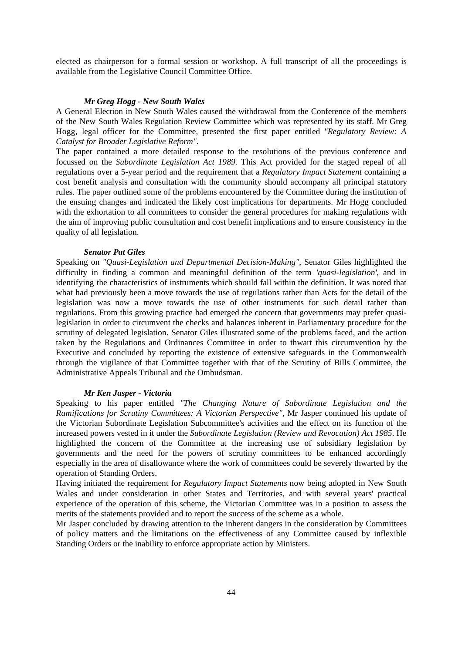elected as chairperson for a formal session or workshop. A full transcript of all the proceedings is available from the Legislative Council Committee Office.

#### *Mr Greg Hogg - New South Wales*

A General Election in New South Wales caused the withdrawal from the Conference of the members of the New South Wales Regulation Review Committee which was represented by its staff. Mr Greg Hogg, legal officer for the Committee, presented the first paper entitled *"Regulatory Review: A Catalyst for Broader Legislative Reform".* 

The paper contained a more detailed response to the resolutions of the previous conference and focussed on the *Subordinate Legislation Act 1989.* This Act provided for the staged repeal of all regulations over a 5-year period and the requirement that a *Regulatory Impact Statement* containing a cost benefit analysis and consultation with the community should accompany all principal statutory rules. The paper outlined some of the problems encountered by the Committee during the institution of the ensuing changes and indicated the likely cost implications for departments. Mr Hogg concluded with the exhortation to all committees to consider the general procedures for making regulations with the aim of improving public consultation and cost benefit implications and to ensure consistency in the quality of all legislation.

#### *Senator Pat Giles*

Speaking on *"Quasi-Legislation and Departmental Decision-Making"*, Senator Giles highlighted the difficulty in finding a common and meaningful definition of the term *'quasi-legislation'*, and in identifying the characteristics of instruments which should fall within the definition. It was noted that what had previously been a move towards the use of regulations rather than Acts for the detail of the legislation was now a move towards the use of other instruments for such detail rather than regulations. From this growing practice had emerged the concern that governments may prefer quasilegislation in order to circumvent the checks and balances inherent in Parliamentary procedure for the scrutiny of delegated legislation. Senator Giles illustrated some of the problems faced, and the action taken by the Regulations and Ordinances Committee in order to thwart this circumvention by the Executive and concluded by reporting the existence of extensive safeguards in the Commonwealth through the vigilance of that Committee together with that of the Scrutiny of Bills Committee, the Administrative Appeals Tribunal and the Ombudsman.

#### *Mr Ken Jasper - Victoria*

Speaking to his paper entitled *"The Changing Nature of Subordinate Legislation and the Ramifications for Scrutiny Committees: A Victorian Perspective",* Mr Jasper continued his update of the Victorian Subordinate Legislation Subcommittee's activities and the effect on its function of the increased powers vested in it under the *Subordinate Legislation (Review and Revocation) Act 1985*. He highlighted the concern of the Committee at the increasing use of subsidiary legislation by governments and the need for the powers of scrutiny committees to be enhanced accordingly especially in the area of disallowance where the work of committees could be severely thwarted by the operation of Standing Orders.

Having initiated the requirement for *Regulatory Impact Statements* now being adopted in New South Wales and under consideration in other States and Territories, and with several years' practical experience of the operation of this scheme, the Victorian Committee was in a position to assess the merits of the statements provided and to report the success of the scheme as a whole.

Mr Jasper concluded by drawing attention to the inherent dangers in the consideration by Committees of policy matters and the limitations on the effectiveness of any Committee caused by inflexible Standing Orders or the inability to enforce appropriate action by Ministers.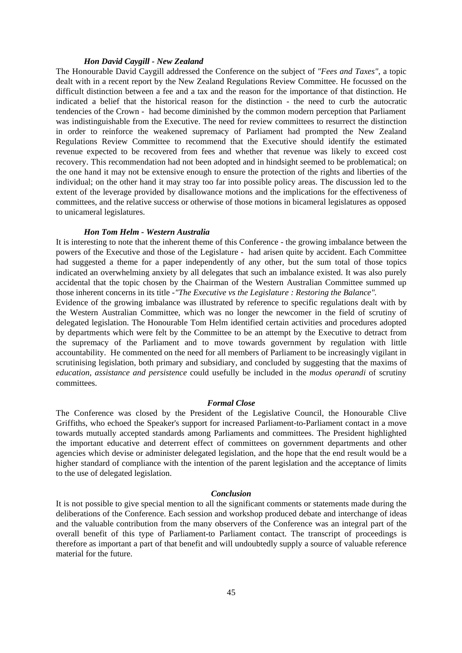#### *Hon David Caygill - New Zealand*

The Honourable David Caygill addressed the Conference on the subject of *"Fees and Taxes"*, a topic dealt with in a recent report by the New Zealand Regulations Review Committee. He focussed on the difficult distinction between a fee and a tax and the reason for the importance of that distinction. He indicated a belief that the historical reason for the distinction - the need to curb the autocratic tendencies of the Crown - had become diminished by the common modern perception that Parliament was indistinguishable from the Executive. The need for review committees to resurrect the distinction in order to reinforce the weakened supremacy of Parliament had prompted the New Zealand Regulations Review Committee to recommend that the Executive should identify the estimated revenue expected to be recovered from fees and whether that revenue was likely to exceed cost recovery. This recommendation had not been adopted and in hindsight seemed to be problematical; on the one hand it may not be extensive enough to ensure the protection of the rights and liberties of the individual; on the other hand it may stray too far into possible policy areas. The discussion led to the extent of the leverage provided by disallowance motions and the implications for the effectiveness of committees, and the relative success or otherwise of those motions in bicameral legislatures as opposed to unicameral legislatures.

#### *Hon Tom Helm - Western Australia*

It is interesting to note that the inherent theme of this Conference - the growing imbalance between the powers of the Executive and those of the Legislature - had arisen quite by accident. Each Committee had suggested a theme for a paper independently of any other, but the sum total of those topics indicated an overwhelming anxiety by all delegates that such an imbalance existed. It was also purely accidental that the topic chosen by the Chairman of the Western Australian Committee summed up those inherent concerns in its title -*"The Executive vs the Legislature : Restoring the Balance".*

Evidence of the growing imbalance was illustrated by reference to specific regulations dealt with by the Western Australian Committee, which was no longer the newcomer in the field of scrutiny of delegated legislation. The Honourable Tom Helm identified certain activities and procedures adopted by departments which were felt by the Committee to be an attempt by the Executive to detract from the supremacy of the Parliament and to move towards government by regulation with little accountability. He commented on the need for all members of Parliament to be increasingly vigilant in scrutinising legislation, both primary and subsidiary, and concluded by suggesting that the maxims of *education, assistance and persistence* could usefully be included in the *modus operandi* of scrutiny committees.

#### *Formal Close*

The Conference was closed by the President of the Legislative Council, the Honourable Clive Griffiths, who echoed the Speaker's support for increased Parliament-to-Parliament contact in a move towards mutually accepted standards among Parliaments and committees. The President highlighted the important educative and deterrent effect of committees on government departments and other agencies which devise or administer delegated legislation, and the hope that the end result would be a higher standard of compliance with the intention of the parent legislation and the acceptance of limits to the use of delegated legislation.

#### *Conclusion*

It is not possible to give special mention to all the significant comments or statements made during the deliberations of the Conference. Each session and workshop produced debate and interchange of ideas and the valuable contribution from the many observers of the Conference was an integral part of the overall benefit of this type of Parliament-to Parliament contact. The transcript of proceedings is therefore as important a part of that benefit and will undoubtedly supply a source of valuable reference material for the future.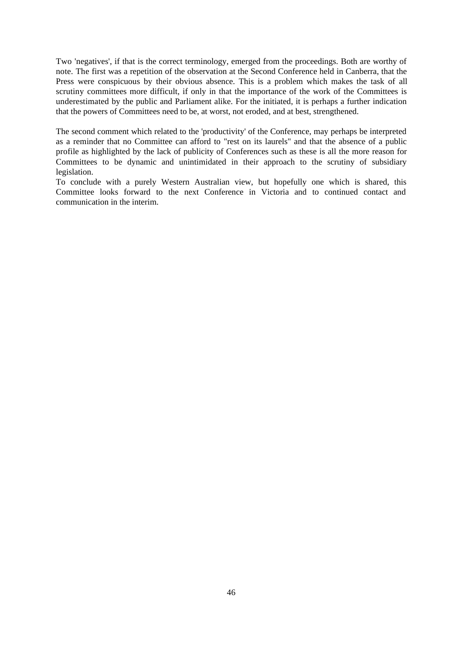Two 'negatives', if that is the correct terminology, emerged from the proceedings. Both are worthy of note. The first was a repetition of the observation at the Second Conference held in Canberra, that the Press were conspicuous by their obvious absence. This is a problem which makes the task of all scrutiny committees more difficult, if only in that the importance of the work of the Committees is underestimated by the public and Parliament alike. For the initiated, it is perhaps a further indication that the powers of Committees need to be, at worst, not eroded, and at best, strengthened.

The second comment which related to the 'productivity' of the Conference, may perhaps be interpreted as a reminder that no Committee can afford to "rest on its laurels" and that the absence of a public profile as highlighted by the lack of publicity of Conferences such as these is all the more reason for Committees to be dynamic and unintimidated in their approach to the scrutiny of subsidiary legislation.

To conclude with a purely Western Australian view, but hopefully one which is shared, this Committee looks forward to the next Conference in Victoria and to continued contact and communication in the interim.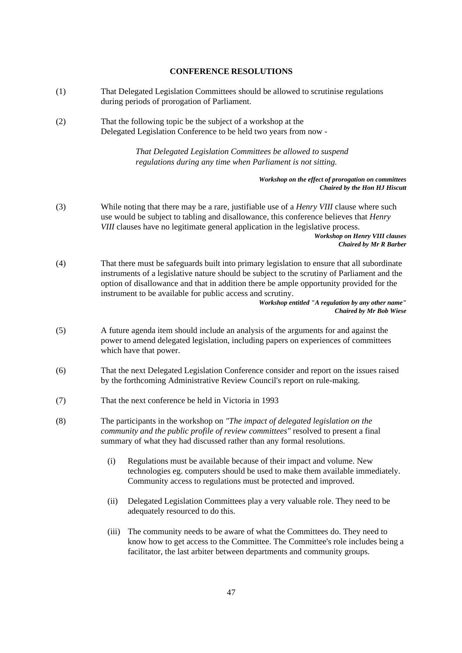#### **CONFERENCE RESOLUTIONS**

- (1) That Delegated Legislation Committees should be allowed to scrutinise regulations during periods of prorogation of Parliament.
- (2) That the following topic be the subject of a workshop at the Delegated Legislation Conference to be held two years from now -

*That Delegated Legislation Committees be allowed to suspend regulations during any time when Parliament is not sitting.*

> *Workshop on the effect of prorogation on committees Chaired by the Hon HJ Hiscutt*

(3) While noting that there may be a rare, justifiable use of a *Henry VIII* clause where such use would be subject to tabling and disallowance, this conference believes that *Henry VIII* clauses have no legitimate general application in the legislative process. *Workshop on Henry VIII clauses*

*Chaired by Mr R Barber*

(4) That there must be safeguards built into primary legislation to ensure that all subordinate instruments of a legislative nature should be subject to the scrutiny of Parliament and the option of disallowance and that in addition there be ample opportunity provided for the instrument to be available for public access and scrutiny.

*Workshop entitled "A regulation by any other name" Chaired by Mr Bob Wiese*

- (5) A future agenda item should include an analysis of the arguments for and against the power to amend delegated legislation, including papers on experiences of committees which have that power.
- (6) That the next Delegated Legislation Conference consider and report on the issues raised by the forthcoming Administrative Review Council's report on rule-making.
- (7) That the next conference be held in Victoria in 1993
- (8) The participants in the workshop on *"The impact of delegated legislation on the community and the public profile of review committees"* resolved to present a final summary of what they had discussed rather than any formal resolutions.
	- (i) Regulations must be available because of their impact and volume. New technologies eg. computers should be used to make them available immediately. Community access to regulations must be protected and improved.
	- (ii) Delegated Legislation Committees play a very valuable role. They need to be adequately resourced to do this.
	- (iii) The community needs to be aware of what the Committees do. They need to know how to get access to the Committee. The Committee's role includes being a facilitator, the last arbiter between departments and community groups.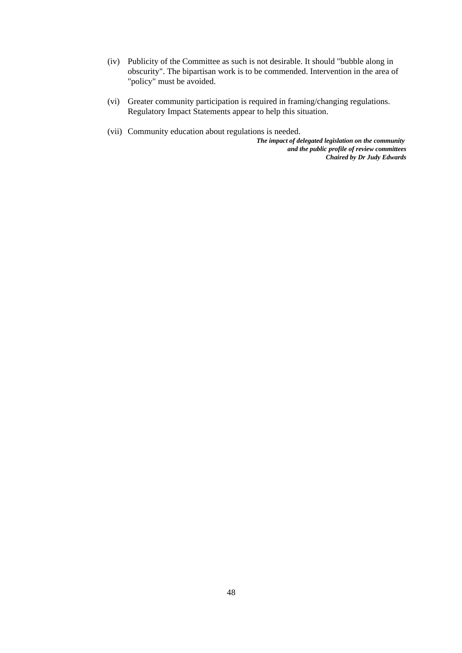- (iv) Publicity of the Committee as such is not desirable. It should "bubble along in obscurity". The bipartisan work is to be commended. Intervention in the area of "policy" must be avoided.
- (vi) Greater community participation is required in framing/changing regulations. Regulatory Impact Statements appear to help this situation.
- (vii) Community education about regulations is needed.

*The impact of delegated legislation on the community and the public profile of review committees Chaired by Dr Judy Edwards*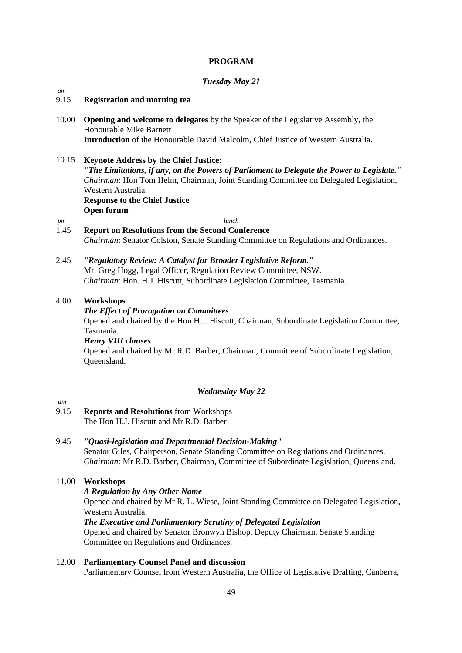## **PROGRAM**

## *Tuesday May 21*

## *am*

## 9.15 **Registration and morning tea**

- 10.00 **Opening and welcome to delegates** by the Speaker of the Legislative Assembly, the Honourable Mike Barnett **Introduction** of the Honourable David Malcolm, Chief Justice of Western Australia.
- 10.15 **Keynote Address by the Chief Justice:** *"The Limitations, if any, on the Powers of Parliament to Delegate the Power to Legislate." Chairman*: Hon Tom Helm, Chairman, Joint Standing Committee on Delegated Legislation, Western Australia. **Response to the Chief Justice Open forum**  *pm lunch*
- 1.45 **Report on Resolutions from the Second Conference** *Chairman*: Senator Colston, Senate Standing Committee on Regulations and Ordinances.
- 2.45 *"Regulatory Review: A Catalyst for Broader Legislative Reform."* Mr. Greg Hogg, Legal Officer, Regulation Review Committee, NSW. *Chairman*: Hon. H.J. Hiscutt, Subordinate Legislation Committee, Tasmania.

## 4.00 **Workshops**

## *The Effect of Prorogation on Committees*

Opened and chaired by the Hon H.J. Hiscutt, Chairman, Subordinate Legislation Committee, Tasmania.

*Henry VIII clauses* Opened and chaired by Mr R.D. Barber, Chairman, Committee of Subordinate Legislation, Queensland.

## *Wednesday May 22*

## *am*

9.15 **Reports and Resolutions** from Workshops The Hon H.J. Hiscutt and Mr R.D. Barber

## 9.45 *"Quasi-legislation and Departmental Decision-Making"*

Senator Giles, Chairperson, Senate Standing Committee on Regulations and Ordinances. *Chairman*: Mr R.D. Barber, Chairman, Committee of Subordinate Legislation, Queensland.

## 11.00 **Workshops**

## *A Regulation by Any Other Name*

Opened and chaired by Mr R. L. Wiese, Joint Standing Committee on Delegated Legislation, Western Australia.

## *The Executive and Parliamentary Scrutiny of Delegated Legislation*

Opened and chaired by Senator Bronwyn Bishop, Deputy Chairman, Senate Standing Committee on Regulations and Ordinances.

## 12.00 **Parliamentary Counsel Panel and discussion**

Parliamentary Counsel from Western Australia, the Office of Legislative Drafting, Canberra,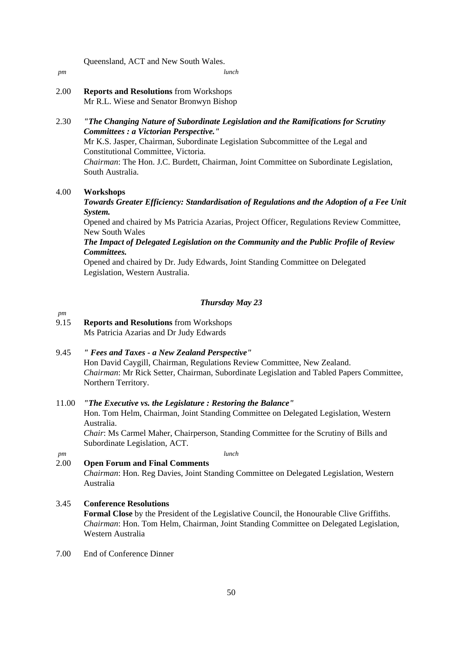Queensland, ACT and New South Wales.

*pm lunch*

2.00 **Reports and Resolutions** from Workshops Mr R.L. Wiese and Senator Bronwyn Bishop

## 2.30 *"The Changing Nature of Subordinate Legislation and the Ramifications for Scrutiny Committees : a Victorian Perspective."*

Mr K.S. Jasper, Chairman, Subordinate Legislation Subcommittee of the Legal and Constitutional Committee, Victoria.

*Chairman*: The Hon. J.C. Burdett, Chairman, Joint Committee on Subordinate Legislation, South Australia.

## 4.00 **Workshops**

## *Towards Greater Efficiency: Standardisation of Regulations and the Adoption of a Fee Unit System.*

Opened and chaired by Ms Patricia Azarias, Project Officer, Regulations Review Committee, New South Wales

## *The Impact of Delegated Legislation on the Community and the Public Profile of Review Committees.*

Opened and chaired by Dr. Judy Edwards, Joint Standing Committee on Delegated Legislation, Western Australia.

## *Thursday May 23*

## 9.15 **Reports and Resolutions** from Workshops Ms Patricia Azarias and Dr Judy Edwards

9.45 *" Fees and Taxes - a New Zealand Perspective"* 

Hon David Caygill, Chairman, Regulations Review Committee, New Zealand. *Chairman*: Mr Rick Setter, Chairman, Subordinate Legislation and Tabled Papers Committee, Northern Territory.

## 11.00 *"The Executive vs. the Legislature : Restoring the Balance"*

Hon. Tom Helm, Chairman, Joint Standing Committee on Delegated Legislation, Western Australia.

*Chair*: Ms Carmel Maher, Chairperson, Standing Committee for the Scrutiny of Bills and Subordinate Legislation, ACT.

*pm*

*pm lunch*

## 2.00 **Open Forum and Final Comments**

*Chairman*: Hon. Reg Davies, Joint Standing Committee on Delegated Legislation, Western Australia

## 3.45 **Conference Resolutions**

**Formal Close** by the President of the Legislative Council, the Honourable Clive Griffiths. *Chairman*: Hon. Tom Helm, Chairman, Joint Standing Committee on Delegated Legislation, Western Australia

7.00 End of Conference Dinner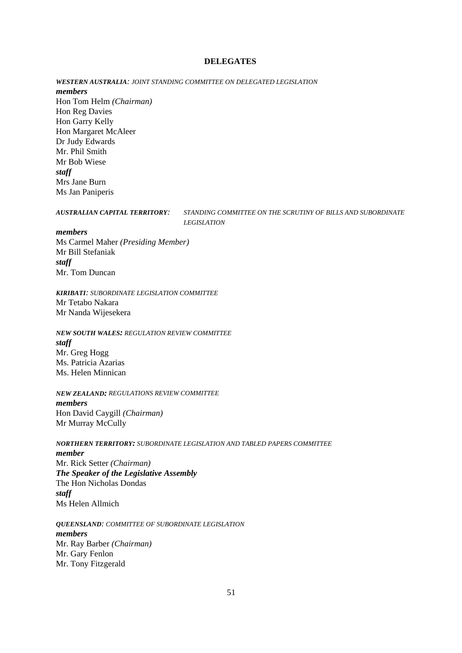#### **DELEGATES**

*WESTERN AUSTRALIA: JOINT STANDING COMMITTEE ON DELEGATED LEGISLATION members* Hon Tom Helm *(Chairman)* Hon Reg Davies Hon Garry Kelly Hon Margaret McAleer Dr Judy Edwards Mr. Phil Smith Mr Bob Wiese *staff* Mrs Jane Burn Ms Jan Paniperis

*AUSTRALIAN CAPITAL TERRITORY: STANDING COMMITTEE ON THE SCRUTINY OF BILLS AND SUBORDINATE LEGISLATION*

#### *members*

Ms Carmel Maher *(Presiding Member)* Mr Bill Stefaniak *staff* Mr. Tom Duncan

*KIRIBATI: SUBORDINATE LEGISLATION COMMITTEE* Mr Tetabo Nakara Mr Nanda Wijesekera

*NEW SOUTH WALES: REGULATION REVIEW COMMITTEE staff* Mr. Greg Hogg Ms. Patricia Azarias Ms. Helen Minnican

*NEW ZEALAND: REGULATIONS REVIEW COMMITTEE members* Hon David Caygill *(Chairman)* Mr Murray McCully

*NORTHERN TERRITORY: SUBORDINATE LEGISLATION AND TABLED PAPERS COMMITTEE member* Mr. Rick Setter *(Chairman) The Speaker of the Legislative Assembly* The Hon Nicholas Dondas *staff* Ms Helen Allmich

*QUEENSLAND: COMMITTEE OF SUBORDINATE LEGISLATION members* Mr. Ray Barber *(Chairman)* Mr. Gary Fenlon Mr. Tony Fitzgerald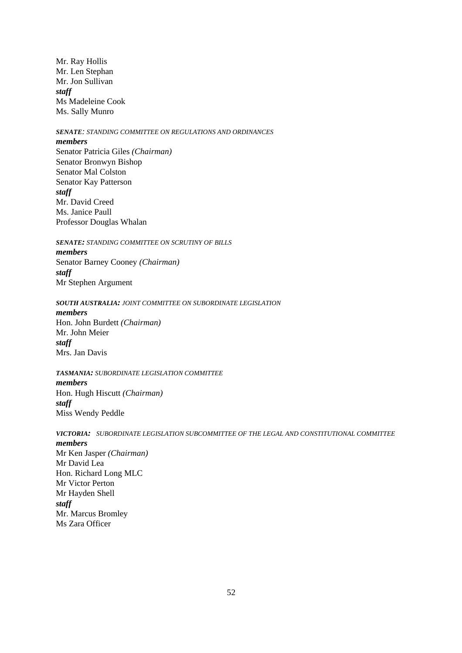Mr. Ray Hollis Mr. Len Stephan Mr. Jon Sullivan *staff* Ms Madeleine Cook Ms. Sally Munro

## *SENATE: STANDING COMMITTEE ON REGULATIONS AND ORDINANCES*

#### *members*

Senator Patricia Giles *(Chairman)* Senator Bronwyn Bishop Senator Mal Colston Senator Kay Patterson *staff* Mr. David Creed Ms. Janice Paull Professor Douglas Whalan

*SENATE: STANDING COMMITTEE ON SCRUTINY OF BILLS*

*members* Senator Barney Cooney *(Chairman) staff* Mr Stephen Argument

*SOUTH AUSTRALIA: JOINT COMMITTEE ON SUBORDINATE LEGISLATION members* Hon. John Burdett *(Chairman)* Mr. John Meier *staff* Mrs. Jan Davis

*TASMANIA: SUBORDINATE LEGISLATION COMMITTEE members* Hon. Hugh Hiscutt *(Chairman) staff* Miss Wendy Peddle

*VICTORIA: SUBORDINATE LEGISLATION SUBCOMMITTEE OF THE LEGAL AND CONSTITUTIONAL COMMITTEE members* Mr Ken Jasper *(Chairman)* Mr David Lea Hon. Richard Long MLC Mr Victor Perton Mr Hayden Shell *staff* Mr. Marcus Bromley Ms Zara Officer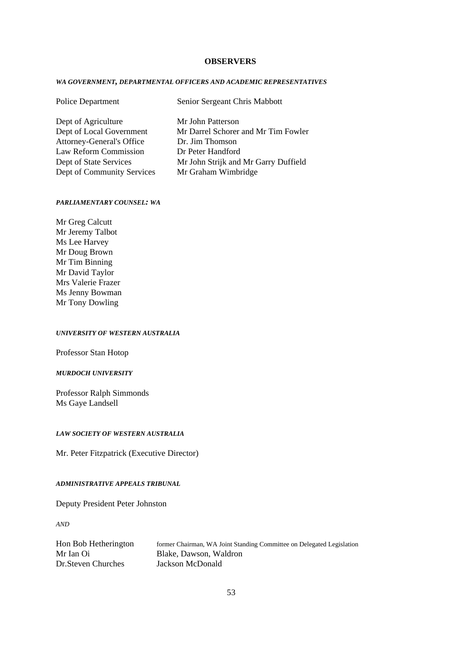#### **OBSERVERS**

#### *WA GOVERNMENT, DEPARTMENTAL OFFICERS AND ACADEMIC REPRESENTATIVES*

## Police Department Senior Sergeant Chris Mabbott

| Dept of Agriculture              | Mr John Patterson       |
|----------------------------------|-------------------------|
| Dept of Local Government         | Mr Darrel Schorer and N |
| <b>Attorney-General's Office</b> | Dr. Jim Thomson         |
| Law Reform Commission            | Dr Peter Handford       |
| Dept of State Services           | Mr John Strijk and Mr O |
| Dept of Community Services       | Mr Graham Wimbridge     |

horer and Mr Tim Fowler k and Mr Garry Duffield

#### *PARLIAMENTARY COUNSEL: WA*

Mr Greg Calcutt Mr Jeremy Talbot Ms Lee Harvey Mr Doug Brown Mr Tim Binning Mr David Taylor Mrs Valerie Frazer Ms Jenny Bowman Mr Tony Dowling

#### *UNIVERSITY OF WESTERN AUSTRALIA*

Professor Stan Hotop

## *MURDOCH UNIVERSITY*

Professor Ralph Simmonds Ms Gaye Landsell

#### *LAW SOCIETY OF WESTERN AUSTRALIA*

Mr. Peter Fitzpatrick (Executive Director)

## *ADMINISTRATIVE APPEALS TRIBUNAL*

Deputy President Peter Johnston

*AND*

| Hon Bob Hetherington | former Chairman, WA Joint Standing Committee on Delegated Legislation |
|----------------------|-----------------------------------------------------------------------|
| Mr Ian Oi            | Blake, Dawson, Waldron                                                |
| Dr. Steven Churches  | Jackson McDonald                                                      |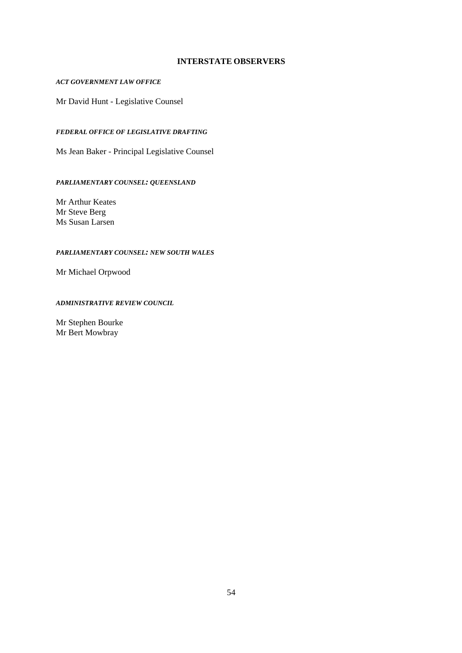## **INTERSTATE OBSERVERS**

## *ACT GOVERNMENT LAW OFFICE*

Mr David Hunt - Legislative Counsel

## *FEDERAL OFFICE OF LEGISLATIVE DRAFTING*

Ms Jean Baker - Principal Legislative Counsel

## *PARLIAMENTARY COUNSEL: QUEENSLAND*

Mr Arthur Keates Mr Steve Berg Ms Susan Larsen

## *PARLIAMENTARY COUNSEL: NEW SOUTH WALES*

Mr Michael Orpwood

## *ADMINISTRATIVE REVIEW COUNCIL*

Mr Stephen Bourke Mr Bert Mowbray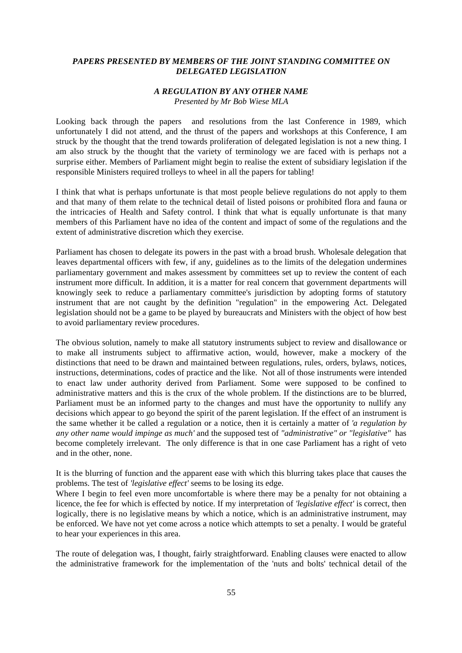## *PAPERS PRESENTED BY MEMBERS OF THE JOINT STANDING COMMITTEE ON DELEGATED LEGISLATION*

## *A REGULATION BY ANY OTHER NAME Presented by Mr Bob Wiese MLA*

Looking back through the papers and resolutions from the last Conference in 1989, which unfortunately I did not attend, and the thrust of the papers and workshops at this Conference, I am struck by the thought that the trend towards proliferation of delegated legislation is not a new thing. I am also struck by the thought that the variety of terminology we are faced with is perhaps not a surprise either. Members of Parliament might begin to realise the extent of subsidiary legislation if the responsible Ministers required trolleys to wheel in all the papers for tabling!

I think that what is perhaps unfortunate is that most people believe regulations do not apply to them and that many of them relate to the technical detail of listed poisons or prohibited flora and fauna or the intricacies of Health and Safety control. I think that what is equally unfortunate is that many members of this Parliament have no idea of the content and impact of some of the regulations and the extent of administrative discretion which they exercise.

Parliament has chosen to delegate its powers in the past with a broad brush. Wholesale delegation that leaves departmental officers with few, if any, guidelines as to the limits of the delegation undermines parliamentary government and makes assessment by committees set up to review the content of each instrument more difficult. In addition, it is a matter for real concern that government departments will knowingly seek to reduce a parliamentary committee's jurisdiction by adopting forms of statutory instrument that are not caught by the definition "regulation" in the empowering Act. Delegated legislation should not be a game to be played by bureaucrats and Ministers with the object of how best to avoid parliamentary review procedures.

The obvious solution, namely to make all statutory instruments subject to review and disallowance or to make all instruments subject to affirmative action, would, however, make a mockery of the distinctions that need to be drawn and maintained between regulations, rules, orders, bylaws, notices, instructions, determinations, codes of practice and the like. Not all of those instruments were intended to enact law under authority derived from Parliament. Some were supposed to be confined to administrative matters and this is the crux of the whole problem. If the distinctions are to be blurred, Parliament must be an informed party to the changes and must have the opportunity to nullify any decisions which appear to go beyond the spirit of the parent legislation. If the effect of an instrument is the same whether it be called a regulation or a notice, then it is certainly a matter of *'a regulation by any other name would impinge as much'* and the supposed test of *"administrative" or "legislative"* has become completely irrelevant. The only difference is that in one case Parliament has a right of veto and in the other, none.

It is the blurring of function and the apparent ease with which this blurring takes place that causes the problems. The test of *'legislative effect'* seems to be losing its edge.

Where I begin to feel even more uncomfortable is where there may be a penalty for not obtaining a licence, the fee for which is effected by notice. If my interpretation of *'legislative effect'* is correct, then logically, there is no legislative means by which a notice, which is an administrative instrument, may be enforced. We have not yet come across a notice which attempts to set a penalty. I would be grateful to hear your experiences in this area.

The route of delegation was, I thought, fairly straightforward. Enabling clauses were enacted to allow the administrative framework for the implementation of the 'nuts and bolts' technical detail of the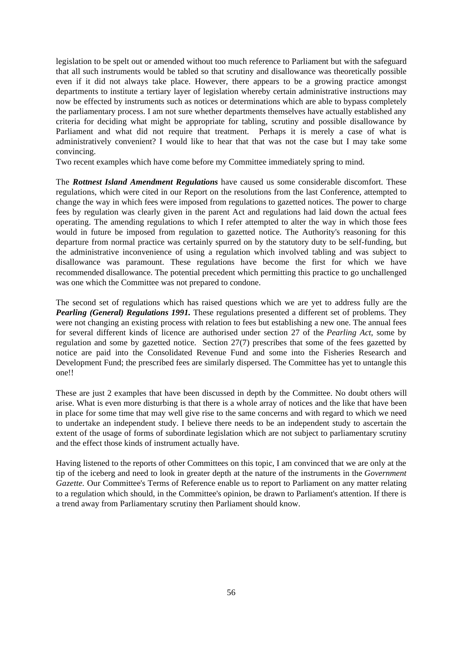legislation to be spelt out or amended without too much reference to Parliament but with the safeguard that all such instruments would be tabled so that scrutiny and disallowance was theoretically possible even if it did not always take place. However, there appears to be a growing practice amongst departments to institute a tertiary layer of legislation whereby certain administrative instructions may now be effected by instruments such as notices or determinations which are able to bypass completely the parliamentary process. I am not sure whether departments themselves have actually established any criteria for deciding what might be appropriate for tabling, scrutiny and possible disallowance by Parliament and what did not require that treatment. Perhaps it is merely a case of what is administratively convenient? I would like to hear that that was not the case but I may take some convincing.

Two recent examples which have come before my Committee immediately spring to mind.

The *Rottnest Island Amendment Regulations* have caused us some considerable discomfort. These regulations, which were cited in our Report on the resolutions from the last Conference, attempted to change the way in which fees were imposed from regulations to gazetted notices. The power to charge fees by regulation was clearly given in the parent Act and regulations had laid down the actual fees operating. The amending regulations to which I refer attempted to alter the way in which those fees would in future be imposed from regulation to gazetted notice. The Authority's reasoning for this departure from normal practice was certainly spurred on by the statutory duty to be self-funding, but the administrative inconvenience of using a regulation which involved tabling and was subject to disallowance was paramount. These regulations have become the first for which we have recommended disallowance. The potential precedent which permitting this practice to go unchallenged was one which the Committee was not prepared to condone.

The second set of regulations which has raised questions which we are yet to address fully are the *Pearling (General) Regulations 1991.* These regulations presented a different set of problems. They were not changing an existing process with relation to fees but establishing a new one. The annual fees for several different kinds of licence are authorised under section 27 of the *Pearling Act*, some by regulation and some by gazetted notice. Section 27(7) prescribes that some of the fees gazetted by notice are paid into the Consolidated Revenue Fund and some into the Fisheries Research and Development Fund; the prescribed fees are similarly dispersed. The Committee has yet to untangle this one!!

These are just 2 examples that have been discussed in depth by the Committee. No doubt others will arise. What is even more disturbing is that there is a whole array of notices and the like that have been in place for some time that may well give rise to the same concerns and with regard to which we need to undertake an independent study. I believe there needs to be an independent study to ascertain the extent of the usage of forms of subordinate legislation which are not subject to parliamentary scrutiny and the effect those kinds of instrument actually have.

Having listened to the reports of other Committees on this topic, I am convinced that we are only at the tip of the iceberg and need to look in greater depth at the nature of the instruments in the *Government Gazette.* Our Committee's Terms of Reference enable us to report to Parliament on any matter relating to a regulation which should, in the Committee's opinion, be drawn to Parliament's attention. If there is a trend away from Parliamentary scrutiny then Parliament should know.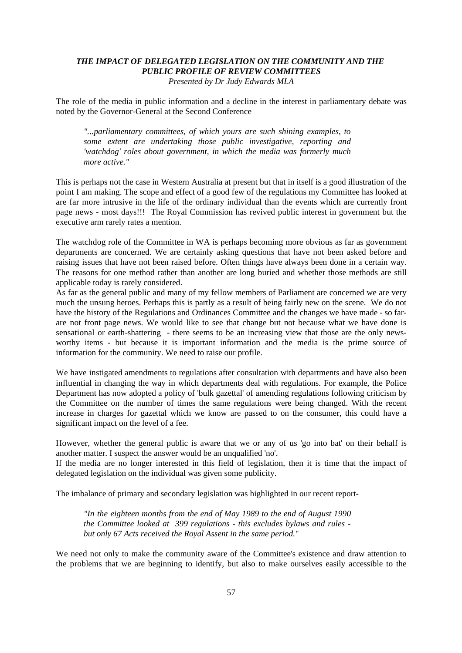## *THE IMPACT OF DELEGATED LEGISLATION ON THE COMMUNITY AND THE PUBLIC PROFILE OF REVIEW COMMITTEES Presented by Dr Judy Edwards MLA*

The role of the media in public information and a decline in the interest in parliamentary debate was noted by the Governor-General at the Second Conference

*"...parliamentary committees, of which yours are such shining examples, to some extent are undertaking those public investigative, reporting and 'watchdog' roles about government, in which the media was formerly much more active."*

This is perhaps not the case in Western Australia at present but that in itself is a good illustration of the point I am making. The scope and effect of a good few of the regulations my Committee has looked at are far more intrusive in the life of the ordinary individual than the events which are currently front page news - most days!!! The Royal Commission has revived public interest in government but the executive arm rarely rates a mention.

The watchdog role of the Committee in WA is perhaps becoming more obvious as far as government departments are concerned. We are certainly asking questions that have not been asked before and raising issues that have not been raised before. Often things have always been done in a certain way. The reasons for one method rather than another are long buried and whether those methods are still applicable today is rarely considered.

As far as the general public and many of my fellow members of Parliament are concerned we are very much the unsung heroes. Perhaps this is partly as a result of being fairly new on the scene. We do not have the history of the Regulations and Ordinances Committee and the changes we have made - so farare not front page news. We would like to see that change but not because what we have done is sensational or earth-shattering - there seems to be an increasing view that those are the only newsworthy items - but because it is important information and the media is the prime source of information for the community. We need to raise our profile.

We have instigated amendments to regulations after consultation with departments and have also been influential in changing the way in which departments deal with regulations. For example, the Police Department has now adopted a policy of 'bulk gazettal' of amending regulations following criticism by the Committee on the number of times the same regulations were being changed. With the recent increase in charges for gazettal which we know are passed to on the consumer, this could have a significant impact on the level of a fee.

However, whether the general public is aware that we or any of us 'go into bat' on their behalf is another matter. I suspect the answer would be an unqualified 'no'.

If the media are no longer interested in this field of legislation, then it is time that the impact of delegated legislation on the individual was given some publicity.

The imbalance of primary and secondary legislation was highlighted in our recent report-

*"In the eighteen months from the end of May 1989 to the end of August 1990 the Committee looked at 399 regulations - this excludes bylaws and rules but only 67 Acts received the Royal Assent in the same period.*"

We need not only to make the community aware of the Committee's existence and draw attention to the problems that we are beginning to identify, but also to make ourselves easily accessible to the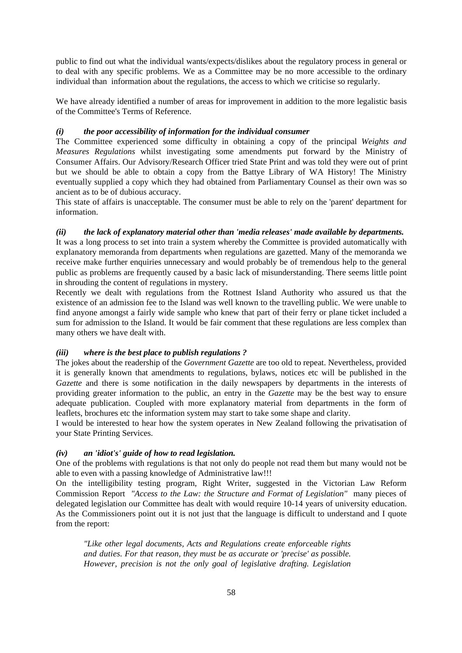public to find out what the individual wants/expects/dislikes about the regulatory process in general or to deal with any specific problems. We as a Committee may be no more accessible to the ordinary individual than information about the regulations, the access to which we criticise so regularly.

We have already identified a number of areas for improvement in addition to the more legalistic basis of the Committee's Terms of Reference.

## *(i) the poor accessibility of information for the individual consumer*

The Committee experienced some difficulty in obtaining a copy of the principal *Weights and Measures Regulations* whilst investigating some amendments put forward by the Ministry of Consumer Affairs. Our Advisory/Research Officer tried State Print and was told they were out of print but we should be able to obtain a copy from the Battye Library of WA History! The Ministry eventually supplied a copy which they had obtained from Parliamentary Counsel as their own was so ancient as to be of dubious accuracy.

This state of affairs is unacceptable. The consumer must be able to rely on the 'parent' department for information.

## *(ii) the lack of explanatory material other than 'media releases' made available by departments.*

It was a long process to set into train a system whereby the Committee is provided automatically with explanatory memoranda from departments when regulations are gazetted. Many of the memoranda we receive make further enquiries unnecessary and would probably be of tremendous help to the general public as problems are frequently caused by a basic lack of misunderstanding. There seems little point in shrouding the content of regulations in mystery.

Recently we dealt with regulations from the Rottnest Island Authority who assured us that the existence of an admission fee to the Island was well known to the travelling public. We were unable to find anyone amongst a fairly wide sample who knew that part of their ferry or plane ticket included a sum for admission to the Island. It would be fair comment that these regulations are less complex than many others we have dealt with.

## *(iii) where is the best place to publish regulations ?*

The jokes about the readership of the *Government Gazette* are too old to repeat. Nevertheless, provided it is generally known that amendments to regulations, bylaws, notices etc will be published in the *Gazette* and there is some notification in the daily newspapers by departments in the interests of providing greater information to the public, an entry in the *Gazette* may be the best way to ensure adequate publication. Coupled with more explanatory material from departments in the form of leaflets, brochures etc the information system may start to take some shape and clarity.

I would be interested to hear how the system operates in New Zealand following the privatisation of your State Printing Services.

## *(iv) an 'idiot's' guide of how to read legislation.*

One of the problems with regulations is that not only do people not read them but many would not be able to even with a passing knowledge of Administrative law!!!

On the intelligibility testing program, Right Writer, suggested in the Victorian Law Reform Commission Report *"Access to the Law: the Structure and Format of Legislation"* many pieces of delegated legislation our Committee has dealt with would require 10-14 years of university education. As the Commissioners point out it is not just that the language is difficult to understand and I quote from the report:

*"Like other legal documents, Acts and Regulations create enforceable rights and duties. For that reason, they must be as accurate or 'precise' as possible. However, precision is not the only goal of legislative drafting. Legislation*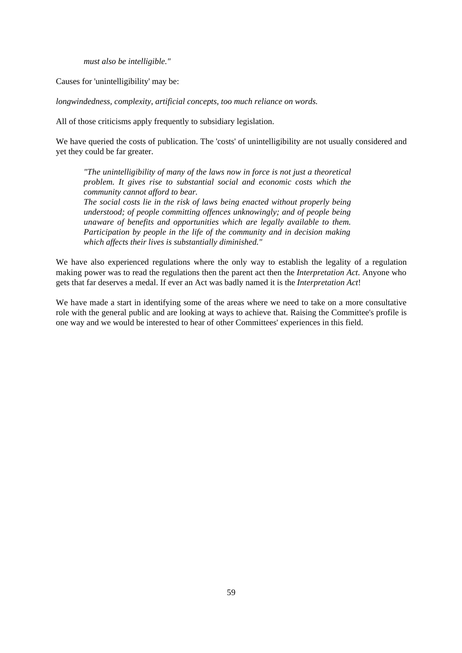*must also be intelligible."*

Causes for 'unintelligibility' may be:

*longwindedness, complexity, artificial concepts, too much reliance on words.*

All of those criticisms apply frequently to subsidiary legislation.

We have queried the costs of publication. The 'costs' of unintelligibility are not usually considered and yet they could be far greater.

*"The unintelligibility of many of the laws now in force is not just a theoretical problem. It gives rise to substantial social and economic costs which the community cannot afford to bear. The social costs lie in the risk of laws being enacted without properly being understood; of people committing offences unknowingly; and of people being unaware of benefits and opportunities which are legally available to them. Participation by people in the life of the community and in decision making which affects their lives is substantially diminished."*

We have also experienced regulations where the only way to establish the legality of a regulation making power was to read the regulations then the parent act then the *Interpretation Act*. Anyone who gets that far deserves a medal. If ever an Act was badly named it is the *Interpretation Act*!

We have made a start in identifying some of the areas where we need to take on a more consultative role with the general public and are looking at ways to achieve that. Raising the Committee's profile is one way and we would be interested to hear of other Committees' experiences in this field.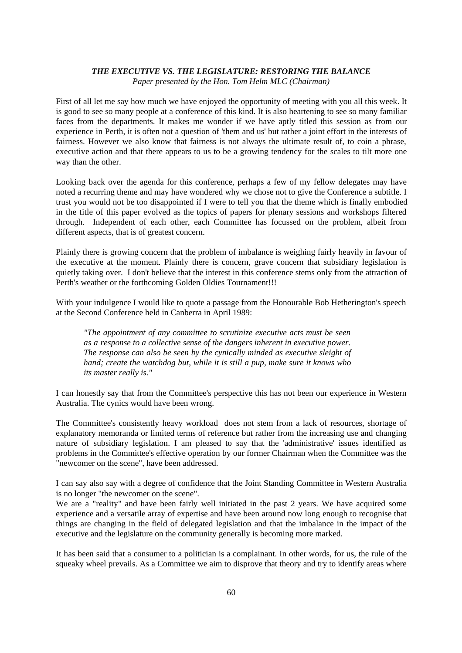## *THE EXECUTIVE VS. THE LEGISLATURE: RESTORING THE BALANCE*

*Paper presented by the Hon. Tom Helm MLC (Chairman)*

First of all let me say how much we have enjoyed the opportunity of meeting with you all this week. It is good to see so many people at a conference of this kind. It is also heartening to see so many familiar faces from the departments. It makes me wonder if we have aptly titled this session as from our experience in Perth, it is often not a question of 'them and us' but rather a joint effort in the interests of fairness. However we also know that fairness is not always the ultimate result of, to coin a phrase, executive action and that there appears to us to be a growing tendency for the scales to tilt more one way than the other.

Looking back over the agenda for this conference, perhaps a few of my fellow delegates may have noted a recurring theme and may have wondered why we chose not to give the Conference a subtitle. I trust you would not be too disappointed if I were to tell you that the theme which is finally embodied in the title of this paper evolved as the topics of papers for plenary sessions and workshops filtered through. Independent of each other, each Committee has focussed on the problem, albeit from different aspects, that is of greatest concern.

Plainly there is growing concern that the problem of imbalance is weighing fairly heavily in favour of the executive at the moment. Plainly there is concern, grave concern that subsidiary legislation is quietly taking over. I don't believe that the interest in this conference stems only from the attraction of Perth's weather or the forthcoming Golden Oldies Tournament!!!

With your indulgence I would like to quote a passage from the Honourable Bob Hetherington's speech at the Second Conference held in Canberra in April 1989:

*"The appointment of any committee to scrutinize executive acts must be seen as a response to a collective sense of the dangers inherent in executive power. The response can also be seen by the cynically minded as executive sleight of hand; create the watchdog but, while it is still a pup, make sure it knows who its master really is."*

I can honestly say that from the Committee's perspective this has not been our experience in Western Australia. The cynics would have been wrong.

The Committee's consistently heavy workload does not stem from a lack of resources, shortage of explanatory memoranda or limited terms of reference but rather from the increasing use and changing nature of subsidiary legislation. I am pleased to say that the 'administrative' issues identified as problems in the Committee's effective operation by our former Chairman when the Committee was the "newcomer on the scene", have been addressed.

I can say also say with a degree of confidence that the Joint Standing Committee in Western Australia is no longer "the newcomer on the scene".

We are a "reality" and have been fairly well initiated in the past 2 years. We have acquired some experience and a versatile array of expertise and have been around now long enough to recognise that things are changing in the field of delegated legislation and that the imbalance in the impact of the executive and the legislature on the community generally is becoming more marked.

It has been said that a consumer to a politician is a complainant. In other words, for us, the rule of the squeaky wheel prevails. As a Committee we aim to disprove that theory and try to identify areas where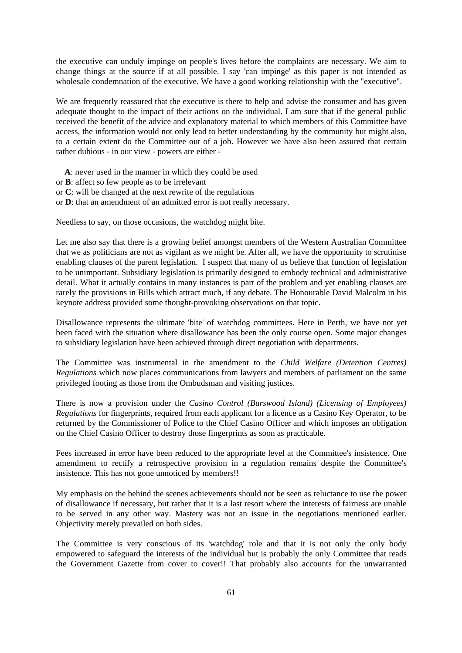the executive can unduly impinge on people's lives before the complaints are necessary. We aim to change things at the source if at all possible. I say 'can impinge' as this paper is not intended as wholesale condemnation of the executive. We have a good working relationship with the "executive".

We are frequently reassured that the executive is there to help and advise the consumer and has given adequate thought to the impact of their actions on the individual. I am sure that if the general public received the benefit of the advice and explanatory material to which members of this Committee have access, the information would not only lead to better understanding by the community but might also, to a certain extent do the Committee out of a job. However we have also been assured that certain rather dubious - in our view - powers are either -

**A**: never used in the manner in which they could be used

- or **B**: affect so few people as to be irrelevant
- or **C**: will be changed at the next rewrite of the regulations
- or **D**: that an amendment of an admitted error is not really necessary.

Needless to say, on those occasions, the watchdog might bite.

Let me also say that there is a growing belief amongst members of the Western Australian Committee that we as politicians are not as vigilant as we might be. After all, we have the opportunity to scrutinise enabling clauses of the parent legislation. I suspect that many of us believe that function of legislation to be unimportant. Subsidiary legislation is primarily designed to embody technical and administrative detail. What it actually contains in many instances is part of the problem and yet enabling clauses are rarely the provisions in Bills which attract much, if any debate. The Honourable David Malcolm in his keynote address provided some thought-provoking observations on that topic.

Disallowance represents the ultimate 'bite' of watchdog committees. Here in Perth, we have not yet been faced with the situation where disallowance has been the only course open. Some major changes to subsidiary legislation have been achieved through direct negotiation with departments.

The Committee was instrumental in the amendment to the *Child Welfare (Detention Centres) Regulations* which now places communications from lawyers and members of parliament on the same privileged footing as those from the Ombudsman and visiting justices.

There is now a provision under the *Casino Control (Burswood Island) (Licensing of Employees) Regulations* for fingerprints, required from each applicant for a licence as a Casino Key Operator, to be returned by the Commissioner of Police to the Chief Casino Officer and which imposes an obligation on the Chief Casino Officer to destroy those fingerprints as soon as practicable.

Fees increased in error have been reduced to the appropriate level at the Committee's insistence. One amendment to rectify a retrospective provision in a regulation remains despite the Committee's insistence. This has not gone unnoticed by members!!

My emphasis on the behind the scenes achievements should not be seen as reluctance to use the power of disallowance if necessary, but rather that it is a last resort where the interests of fairness are unable to be served in any other way. Mastery was not an issue in the negotiations mentioned earlier. Objectivity merely prevailed on both sides.

The Committee is very conscious of its 'watchdog' role and that it is not only the only body empowered to safeguard the interests of the individual but is probably the only Committee that reads the Government Gazette from cover to cover!! That probably also accounts for the unwarranted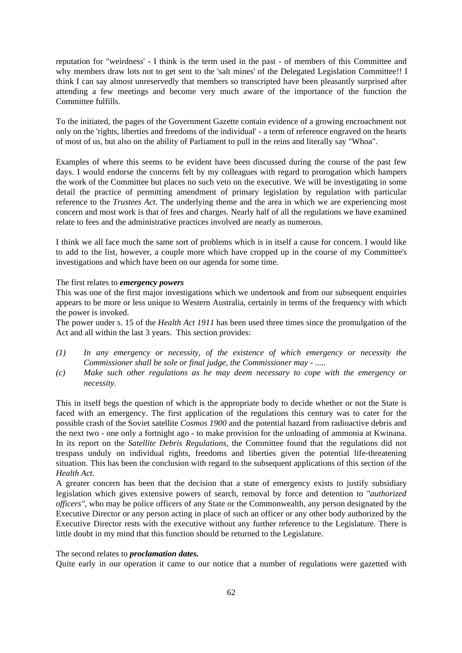reputation for "weirdness' - I think is the term used in the past - of members of this Committee and why members draw lots not to get sent to the 'salt mines' of the Delegated Legislation Committee!! I think I can say almost unreservedly that members so transcripted have been pleasantly surprised after attending a few meetings and become very much aware of the importance of the function the Committee fulfills.

To the initiated, the pages of the Government Gazette contain evidence of a growing encroachment not only on the 'rights, liberties and freedoms of the individual' - a term of reference engraved on the hearts of most of us, but also on the ability of Parliament to pull in the reins and literally say "Whoa".

Examples of where this seems to be evident have been discussed during the course of the past few days. I would endorse the concerns felt by my colleagues with regard to prorogation which hampers the work of the Committee but places no such veto on the executive. We will be investigating in some detail the practice of permitting amendment of primary legislation by regulation with particular reference to the *Trustees Act*. The underlying theme and the area in which we are experiencing most concern and most work is that of fees and charges. Nearly half of all the regulations we have examined relate to fees and the administrative practices involved are nearly as numerous.

I think we all face much the same sort of problems which is in itself a cause for concern. I would like to add to the list, however, a couple more which have cropped up in the course of my Committee's investigations and which have been on our agenda for some time.

## The first relates to *emergency powers*

This was one of the first major investigations which we undertook and from our subsequent enquiries appears to be more or less unique to Western Australia, certainly in terms of the frequency with which the power is invoked.

The power under s. 15 of the *Health Act 1911* has been used three times since the promulgation of the Act and all within the last 3 years. This section provides:

- *(1) In any emergency or necessity, of the existence of which emergency or necessity the Commissioner shall be sole or final judge, the Commissioner may - .....*
- *(c) Make such other regulations as he may deem necessary to cope with the emergency or necessity.*

This in itself begs the question of which is the appropriate body to decide whether or not the State is faced with an emergency. The first application of the regulations this century was to cater for the possible crash of the Soviet satellite *Cosmos 1900* and the potential hazard from radioactive debris and the next two - one only a fortnight ago - to make provision for the unloading of ammonia at Kwinana. In its report on the *Satellite Debris Regulations,* the Committee found that the regulations did not trespass unduly on individual rights, freedoms and liberties given the potential life-threatening situation. This has been the conclusion with regard to the subsequent applications of this section of the *Health Act*.

A greater concern has been that the decision that a state of emergency exists to justify subsidiary legislation which gives extensive powers of search, removal by force and detention to *"authorized officers"*, who may be police officers of any State or the Commonwealth, any person designated by the Executive Director or any person acting in place of such an officer or any other body authorized by the Executive Director rests with the executive without any further reference to the Legislature. There is little doubt in my mind that this function should be returned to the Legislature.

#### The second relates to *proclamation dates.*

Quite early in our operation it came to our notice that a number of regulations were gazetted with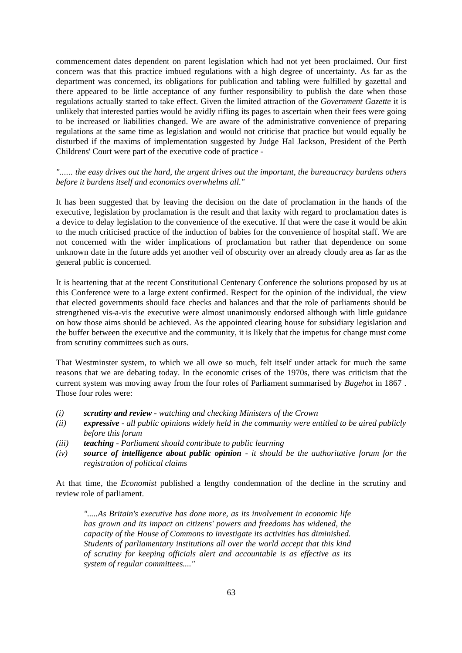commencement dates dependent on parent legislation which had not yet been proclaimed. Our first concern was that this practice imbued regulations with a high degree of uncertainty. As far as the department was concerned, its obligations for publication and tabling were fulfilled by gazettal and there appeared to be little acceptance of any further responsibility to publish the date when those regulations actually started to take effect. Given the limited attraction of the *Government Gazette* it is unlikely that interested parties would be avidly rifling its pages to ascertain when their fees were going to be increased or liabilities changed. We are aware of the administrative convenience of preparing regulations at the same time as legislation and would not criticise that practice but would equally be disturbed if the maxims of implementation suggested by Judge Hal Jackson, President of the Perth Childrens' Court were part of the executive code of practice -

## *"...... the easy drives out the hard, the urgent drives out the important, the bureaucracy burdens others before it burdens itself and economics overwhelms all."*

It has been suggested that by leaving the decision on the date of proclamation in the hands of the executive, legislation by proclamation is the result and that laxity with regard to proclamation dates is a device to delay legislation to the convenience of the executive. If that were the case it would be akin to the much criticised practice of the induction of babies for the convenience of hospital staff. We are not concerned with the wider implications of proclamation but rather that dependence on some unknown date in the future adds yet another veil of obscurity over an already cloudy area as far as the general public is concerned.

It is heartening that at the recent Constitutional Centenary Conference the solutions proposed by us at this Conference were to a large extent confirmed. Respect for the opinion of the individual, the view that elected governments should face checks and balances and that the role of parliaments should be strengthened vis-a-vis the executive were almost unanimously endorsed although with little guidance on how those aims should be achieved. As the appointed clearing house for subsidiary legislation and the buffer between the executive and the community, it is likely that the impetus for change must come from scrutiny committees such as ours.

That Westminster system, to which we all owe so much, felt itself under attack for much the same reasons that we are debating today. In the economic crises of the 1970s, there was criticism that the current system was moving away from the four roles of Parliament summarised by *Bagehot* in 1867 . Those four roles were:

- *(i) scrutiny and review watching and checking Ministers of the Crown*
- *(ii) expressive all public opinions widely held in the community were entitled to be aired publicly before this forum*
- *(iii) teaching Parliament should contribute to public learning*
- *(iv) source of intelligence about public opinion it should be the authoritative forum for the registration of political claims*

At that time, the *Economist* published a lengthy condemnation of the decline in the scrutiny and review role of parliament.

*".....As Britain's executive has done more, as its involvement in economic life has grown and its impact on citizens' powers and freedoms has widened, the capacity of the House of Commons to investigate its activities has diminished. Students of parliamentary institutions all over the world accept that this kind of scrutiny for keeping officials alert and accountable is as effective as its system of regular committees...."*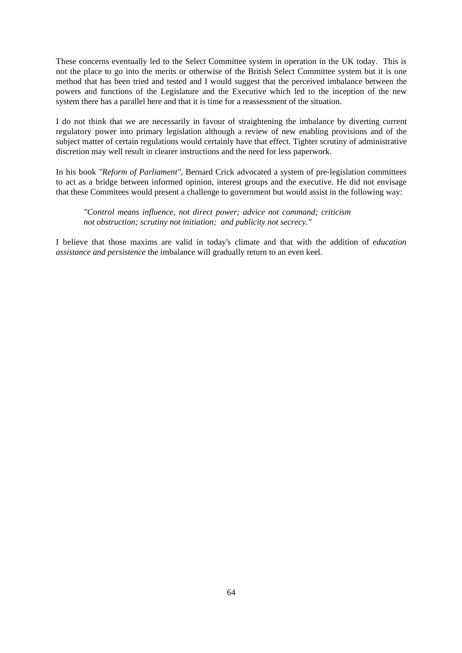These concerns eventually led to the Select Committee system in operation in the UK today. This is not the place to go into the merits or otherwise of the British Select Committee system but it is one method that has been tried and tested and I would suggest that the perceived imbalance between the powers and functions of the Legislature and the Executive which led to the inception of the new system there has a parallel here and that it is time for a reassessment of the situation.

I do not think that we are necessarily in favour of straightening the imbalance by diverting current regulatory power into primary legislation although a review of new enabling provisions and of the subject matter of certain regulations would certainly have that effect. Tighter scrutiny of administrative discretion may well result in clearer instructions and the need for less paperwork.

In his book *"Reform of Parliament"*, Bernard Crick advocated a system of pre-legislation committees to act as a bridge between informed opinion, interest groups and the executive. He did not envisage that these Commitees would present a challenge to government but would assist in the following way:

*"Control means influence, not direct power; advice not command; criticism not obstruction; scrutiny not initiation; and publicity not secrecy."*

I believe that those maxims are valid in today's climate and that with the addition of *education assistance and persistence* the imbalance will gradually return to an even keel.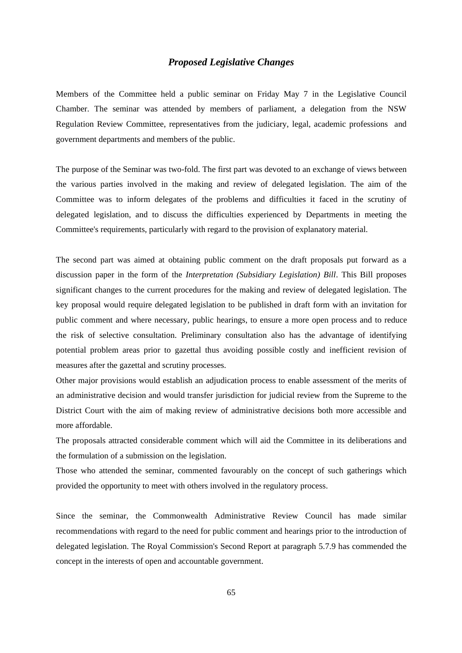## *Proposed Legislative Changes*

Members of the Committee held a public seminar on Friday May 7 in the Legislative Council Chamber. The seminar was attended by members of parliament, a delegation from the NSW Regulation Review Committee, representatives from the judiciary, legal, academic professions and government departments and members of the public.

The purpose of the Seminar was two-fold. The first part was devoted to an exchange of views between the various parties involved in the making and review of delegated legislation. The aim of the Committee was to inform delegates of the problems and difficulties it faced in the scrutiny of delegated legislation, and to discuss the difficulties experienced by Departments in meeting the Committee's requirements, particularly with regard to the provision of explanatory material.

The second part was aimed at obtaining public comment on the draft proposals put forward as a discussion paper in the form of the *Interpretation (Subsidiary Legislation) Bill*. This Bill proposes significant changes to the current procedures for the making and review of delegated legislation. The key proposal would require delegated legislation to be published in draft form with an invitation for public comment and where necessary, public hearings, to ensure a more open process and to reduce the risk of selective consultation. Preliminary consultation also has the advantage of identifying potential problem areas prior to gazettal thus avoiding possible costly and inefficient revision of measures after the gazettal and scrutiny processes.

Other major provisions would establish an adjudication process to enable assessment of the merits of an administrative decision and would transfer jurisdiction for judicial review from the Supreme to the District Court with the aim of making review of administrative decisions both more accessible and more affordable.

The proposals attracted considerable comment which will aid the Committee in its deliberations and the formulation of a submission on the legislation.

Those who attended the seminar, commented favourably on the concept of such gatherings which provided the opportunity to meet with others involved in the regulatory process.

Since the seminar, the Commonwealth Administrative Review Council has made similar recommendations with regard to the need for public comment and hearings prior to the introduction of delegated legislation. The Royal Commission's Second Report at paragraph 5.7.9 has commended the concept in the interests of open and accountable government.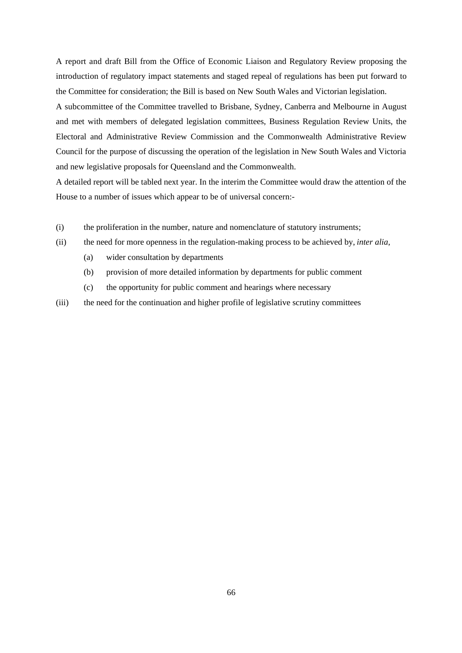A report and draft Bill from the Office of Economic Liaison and Regulatory Review proposing the introduction of regulatory impact statements and staged repeal of regulations has been put forward to the Committee for consideration; the Bill is based on New South Wales and Victorian legislation.

A subcommittee of the Committee travelled to Brisbane, Sydney, Canberra and Melbourne in August and met with members of delegated legislation committees, Business Regulation Review Units, the Electoral and Administrative Review Commission and the Commonwealth Administrative Review Council for the purpose of discussing the operation of the legislation in New South Wales and Victoria and new legislative proposals for Queensland and the Commonwealth.

A detailed report will be tabled next year. In the interim the Committee would draw the attention of the House to a number of issues which appear to be of universal concern:-

- (i) the proliferation in the number, nature and nomenclature of statutory instruments;
- (ii) the need for more openness in the regulation-making process to be achieved by, *inter alia*,
	- (a) wider consultation by departments
	- (b) provision of more detailed information by departments for public comment
	- (c) the opportunity for public comment and hearings where necessary
- (iii) the need for the continuation and higher profile of legislative scrutiny committees